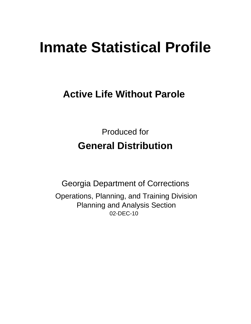# **Inmate Statistical Profile**

# **Active Life Without Parole**

**Produced for General Distribution** 

**Georgia Department of Corrections** Operations, Planning, and Training Division **Planning and Analysis Section** 02-DEC-10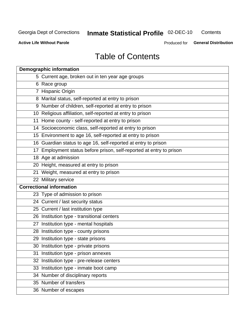# Inmate Statistical Profile 02-DEC-10

Contents

**Active Life Without Parole** 

Produced for General Distribution

# **Table of Contents**

| <b>Demographic information</b>                                       |
|----------------------------------------------------------------------|
| 5 Current age, broken out in ten year age groups                     |
| 6 Race group                                                         |
| 7 Hispanic Origin                                                    |
| 8 Marital status, self-reported at entry to prison                   |
| 9 Number of children, self-reported at entry to prison               |
| 10 Religious affiliation, self-reported at entry to prison           |
| 11 Home county - self-reported at entry to prison                    |
| 14 Socioeconomic class, self-reported at entry to prison             |
| 15 Environment to age 16, self-reported at entry to prison           |
| 16 Guardian status to age 16, self-reported at entry to prison       |
| 17 Employment status before prison, self-reported at entry to prison |
| 18 Age at admission                                                  |
| 20 Height, measured at entry to prison                               |
| 21 Weight, measured at entry to prison                               |
| 22 Military service                                                  |
| <b>Correctional information</b>                                      |
| 23 Type of admission to prison                                       |
| 24 Current / last security status                                    |
| 25 Current / last institution type                                   |
| 26 Institution type - transitional centers                           |
| 27 Institution type - mental hospitals                               |
| 28 Institution type - county prisons                                 |
| 29 Institution type - state prisons                                  |
| 30 Institution type - private prisons                                |
| 31 Institution type - prison annexes                                 |
| 32 Institution type - pre-release centers                            |
| 33 Institution type - inmate boot camp                               |
| 34 Number of disciplinary reports                                    |
| 35 Number of transfers                                               |
| 36 Number of escapes                                                 |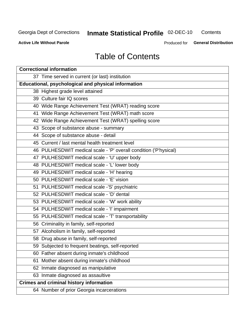# **Inmate Statistical Profile 02-DEC-10**

Contents

**Active Life Without Parole** 

Produced for General Distribution

# **Table of Contents**

| <b>Correctional information</b>                                  |  |  |  |  |  |  |
|------------------------------------------------------------------|--|--|--|--|--|--|
| 37 Time served in current (or last) institution                  |  |  |  |  |  |  |
| <b>Educational, psychological and physical information</b>       |  |  |  |  |  |  |
| 38 Highest grade level attained                                  |  |  |  |  |  |  |
| 39 Culture fair IQ scores                                        |  |  |  |  |  |  |
| 40 Wide Range Achievement Test (WRAT) reading score              |  |  |  |  |  |  |
| 41 Wide Range Achievement Test (WRAT) math score                 |  |  |  |  |  |  |
| 42 Wide Range Achievement Test (WRAT) spelling score             |  |  |  |  |  |  |
| 43 Scope of substance abuse - summary                            |  |  |  |  |  |  |
| 44 Scope of substance abuse - detail                             |  |  |  |  |  |  |
| 45 Current / last mental health treatment level                  |  |  |  |  |  |  |
| 46 PULHESDWIT medical scale - 'P' overall condition ('P'hysical) |  |  |  |  |  |  |
| 47 PULHESDWIT medical scale - 'U' upper body                     |  |  |  |  |  |  |
| 48 PULHESDWIT medical scale - 'L' lower body                     |  |  |  |  |  |  |
| 49 PULHESDWIT medical scale - 'H' hearing                        |  |  |  |  |  |  |
| 50 PULHESDWIT medical scale - 'E' vision                         |  |  |  |  |  |  |
| 51 PULHESDWIT medical scale -'S' psychiatric                     |  |  |  |  |  |  |
| 52 PULHESDWIT medical scale - 'D' dental                         |  |  |  |  |  |  |
| 53 PULHESDWIT medical scale - 'W' work ability                   |  |  |  |  |  |  |
| 54 PULHESDWIT medical scale - 'I' impairment                     |  |  |  |  |  |  |
| 55 PULHESDWIT medical scale - 'T' transportability               |  |  |  |  |  |  |
| 56 Criminality in family, self-reported                          |  |  |  |  |  |  |
| 57 Alcoholism in family, self-reported                           |  |  |  |  |  |  |
| 58 Drug abuse in family, self-reported                           |  |  |  |  |  |  |
| 59 Subjected to frequent beatings, self-reported                 |  |  |  |  |  |  |
| 60 Father absent during inmate's childhood                       |  |  |  |  |  |  |
| Mother absent during inmate's childhood<br>61                    |  |  |  |  |  |  |
| 62 Inmate diagnosed as manipulative                              |  |  |  |  |  |  |
| 63 Inmate diagnosed as assaultive                                |  |  |  |  |  |  |
| <b>Crimes and criminal history information</b>                   |  |  |  |  |  |  |
| 64 Number of prior Georgia incarcerations                        |  |  |  |  |  |  |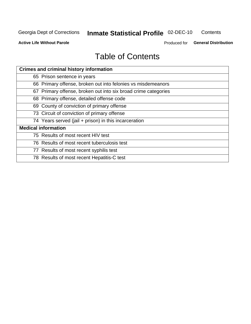# Inmate Statistical Profile 02-DEC-10

Contents

**Active Life Without Parole** 

Produced for General Distribution

# **Table of Contents**

| <b>Crimes and criminal history information</b>                 |
|----------------------------------------------------------------|
| 65 Prison sentence in years                                    |
| 66 Primary offense, broken out into felonies vs misdemeanors   |
| 67 Primary offense, broken out into six broad crime categories |
| 68 Primary offense, detailed offense code                      |
| 69 County of conviction of primary offense                     |
| 73 Circuit of conviction of primary offense                    |
| 74 Years served (jail + prison) in this incarceration          |
| <b>Medical information</b>                                     |
| 75 Results of most recent HIV test                             |
| 76 Results of most recent tuberculosis test                    |
| 77 Results of most recent syphilis test                        |
| 78 Results of most recent Hepatitis-C test                     |
|                                                                |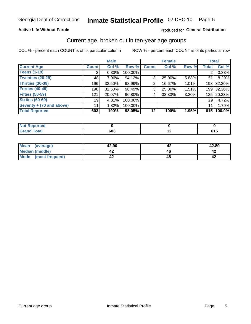## Inmate Statistical Profile 02-DEC-10 Page 5

#### **Active Life Without Parole**

#### Produced for General Distribution

### Current age, broken out in ten-year age groups

COL % - percent each COUNT is of its particular column

|                          |              | <b>Male</b> |         |                | <b>Female</b> |       |                 | <b>Total</b> |
|--------------------------|--------------|-------------|---------|----------------|---------------|-------|-----------------|--------------|
| <b>Current Age</b>       | <b>Count</b> | Col %       | Row %   | <b>Count</b>   | Col %         | Row % | <b>Total</b>    | Col %        |
| <b>Teens (1-19)</b>      | 2            | 0.33%       | 100.00% |                |               |       | 2 <sub>1</sub>  | 0.33%        |
| <b>Twenties (20-29)</b>  | 48           | 7.96%       | 94.12%  | 3 <sup>1</sup> | 25.00%        | 5.88% | 511             | 8.29%        |
| <b>Thirties (30-39)</b>  | 196          | $32.50\%$   | 98.99%  | $\overline{2}$ | 16.67%        | 1.01% |                 | 198 32.20%   |
| <b>Forties (40-49)</b>   | 196          | 32.50%      | 98.49%  | 3 <sup>1</sup> | 25.00%        | 1.51% |                 | 199 32.36%   |
| <b>Fifties (50-59)</b>   | 121          | 20.07%      | 96.80%  | 4              | 33.33%        | 3.20% |                 | 125 20.33%   |
| <b>Sixties (60-69)</b>   | 29           | 4.81%       | 100.00% |                |               |       | 29              | 4.72%        |
| Seventy + (70 and above) | 11           | 1.82%       | 100.00% |                |               |       | 11 <sup>1</sup> | 1.79%        |
| <b>Total Reported</b>    | 603          | 100%        | 98.05%  | 12             | 100%          | 1.95% |                 | 615 100.0%   |

| بمستعدد<br>. tea<br>$\sim$ |     |                          |  |
|----------------------------|-----|--------------------------|--|
| $T = 4 - T$                | 603 | $\overline{\phantom{0}}$ |  |

| Mean<br>(average)       | 42.90 | 42.89 |
|-------------------------|-------|-------|
| Median (middle)         |       |       |
| Mode<br>(most frequent) |       |       |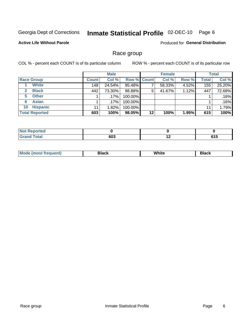#### Inmate Statistical Profile 02-DEC-10 Page 6

#### **Active Life Without Parole**

Produced for General Distribution

### Race group

COL % - percent each COUNT is of its particular column

|                       |              | <b>Male</b> |                    |         | <b>Female</b> |       |       | <b>Total</b> |
|-----------------------|--------------|-------------|--------------------|---------|---------------|-------|-------|--------------|
| <b>Race Group</b>     | <b>Count</b> | Col %       | <b>Row % Count</b> |         | Col %         | Row % | Total | Col %        |
| <b>White</b>          | 148          | 24.54%      | 95.48%             |         | 58.33%        | 4.52% | 155   | 25.20%       |
| <b>Black</b>          | 442          | 73.30%      | 98.88%             | 5       | 41.67%        | 1.12% | 447   | 72.68%       |
| <b>Other</b><br>5     |              | $.17\%$     | 100.00%            |         |               |       |       | .16%         |
| <b>Asian</b><br>6     |              | $.17\%$     | 100.00%            |         |               |       |       | .16%         |
| <b>Hispanic</b><br>10 | 11           | 1.82%       | 100.00%            |         |               |       | 11    | 1.79%        |
| <b>Total Reported</b> | 603          | 100%        | 98.05%             | $12 \,$ | 100%          | 1.95% | 615   | 100%         |

| <b>rted</b>            |     |                          |                      |
|------------------------|-----|--------------------------|----------------------|
| <b>Total</b><br>______ | 603 | $\overline{\phantom{0}}$ | - - -<br>. . J<br>__ |

| M | .<br>w<br>$\sim$ $\sim$ $\sim$ $\sim$ | Piasn |
|---|---------------------------------------|-------|
|   |                                       |       |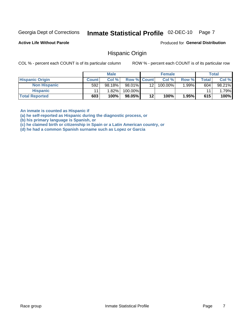#### Inmate Statistical Profile 02-DEC-10 Page 7

**Active Life Without Parole** 

Produced for General Distribution

### **Hispanic Origin**

COL % - percent each COUNT is of its particular column

ROW % - percent each COUNT is of its particular row

|                        |              | <b>Male</b> |                    |     | <b>Female</b> |          |       | <b>Total</b> |
|------------------------|--------------|-------------|--------------------|-----|---------------|----------|-------|--------------|
| <b>Hispanic Origin</b> | <b>Count</b> | Col %       | <b>Row % Count</b> |     | Col %         | Row %    | Total | Col %        |
| <b>Non Hispanic</b>    | 592          | 98.18%      | 98.01%             | 121 | 100.00%       | $1.99\%$ | 604   | 98.21%       |
| <b>Hispanic</b>        |              | 1.82%       | 100.00%            |     |               |          | 11    | 1.79%        |
| <b>Total Reported</b>  | 603          | 100%        | 98.05%             | 12  | 100%          | 1.95%    | 615   | 100%         |

An inmate is counted as Hispanic if

(a) he self-reported as Hispanic during the diagnostic process, or

(b) his primary language is Spanish, or

(c) he claimed birth or citizenship in Spain or a Latin American country, or

(d) he had a common Spanish surname such as Lopez or Garcia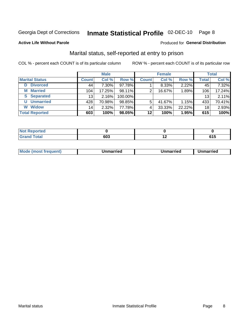# Inmate Statistical Profile 02-DEC-10 Page 8

#### **Active Life Without Parole**

#### **Produced for General Distribution**

### Marital status, self-reported at entry to prison

COL % - percent each COUNT is of its particular column

|                        | <b>Male</b>     |          |         | <b>Female</b>   |        |        | <b>Total</b> |        |
|------------------------|-----------------|----------|---------|-----------------|--------|--------|--------------|--------|
| <b>Marital Status</b>  | <b>Count</b>    | Col %    | Row %   | <b>Count</b>    | Col %  | Row %  | Total        | Col %  |
| <b>Divorced</b><br>D   | 44              | $7.30\%$ | 97.78%  |                 | 8.33%  | 2.22%  | 45           | 7.32%  |
| <b>Married</b><br>М    | 104             | 17.25%   | 98.11%  | 2               | 16.67% | 1.89%  | 106          | 17.24% |
| <b>Separated</b><br>S. | 13              | 2.16%    | 100.00% |                 |        |        | 13           | 2.11%  |
| <b>Unmarried</b><br>U  | 428             | 70.98%   | 98.85%  | 5               | 41.67% | 1.15%  | 433          | 70.41% |
| <b>Widow</b><br>W      | 14 <sub>1</sub> | 2.32%    | 77.78%  | 4               | 33.33% | 22.22% | 18           | 2.93%  |
| <b>Total Reported</b>  | 603             | 100%     | 98.05%  | 12 <sub>1</sub> | 100%   | 1.95%  | 615          | 100%   |

| <b>Not Reported</b> |      |            |
|---------------------|------|------------|
| <b>Total</b>        | cna  | <b>CAI</b> |
| Granu               | ึറഗാ | uw         |

| <b>Mode (most frequent)</b> | Jnmarried | Unmarried | Unmarried |
|-----------------------------|-----------|-----------|-----------|
|-----------------------------|-----------|-----------|-----------|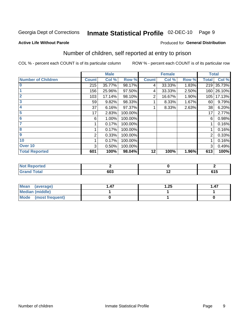# Inmate Statistical Profile 02-DEC-10 Page 9

#### **Active Life Without Parole**

#### Produced for General Distribution

## Number of children, self reported at entry to prison

COL % - percent each COUNT is of its particular column

|                           |              | <b>Male</b> |         |              | <b>Female</b> |       | <b>Total</b> |        |
|---------------------------|--------------|-------------|---------|--------------|---------------|-------|--------------|--------|
| <b>Number of Children</b> | <b>Count</b> | Col %       | Row %   | <b>Count</b> | Col %         | Row % | <b>Total</b> | Col %  |
| $\bf{0}$                  | 215          | 35.77%      | 98.17%  | 4            | 33.33%        | 1.83% | 219          | 35.73% |
|                           | 156          | 25.96%      | 97.50%  | 4            | 33.33%        | 2.50% | 160          | 26.10% |
| $\overline{2}$            | 103          | 17.14%      | 98.10%  | 2            | 16.67%        | 1.90% | 105          | 17.13% |
| 3                         | 59           | 9.82%       | 98.33%  |              | 8.33%         | 1.67% | 60           | 9.79%  |
| 4                         | 37           | 6.16%       | 97.37%  |              | 8.33%         | 2.63% | 38           | 6.20%  |
| 5                         | 17           | 2.83%       | 100.00% |              |               |       | 17           | 2.77%  |
| 6                         | 6            | 1.00%       | 100.00% |              |               |       | 6            | 0.98%  |
|                           |              | 0.17%       | 100.00% |              |               |       |              | 0.16%  |
| 8                         |              | 0.17%       | 100.00% |              |               |       |              | 0.16%  |
| $\boldsymbol{9}$          | 2            | 0.33%       | 100.00% |              |               |       | 2            | 0.33%  |
| 10                        |              | 0.17%       | 100.00% |              |               |       |              | 0.16%  |
| Over 10                   | 3            | 0.50%       | 100.00% |              |               |       | 3            | 0.49%  |
| <b>Total Reported</b>     | 601          | 100%        | 98.04%  | 12           | 100%          | 1.96% | 613          | 100%   |

| meo<br>w.                                    |     |                 |
|----------------------------------------------|-----|-----------------|
| $\mathcal{L} = 4 \times 7$<br>υιαι<br>$\sim$ | ისა | $\cdots$<br>. . |

| Mean (average)         | .47 | .25 | 1.47 |
|------------------------|-----|-----|------|
| <b>Median (middle)</b> |     |     |      |
| Mode (most frequent)   |     |     |      |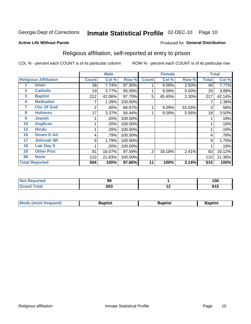#### Inmate Statistical Profile 02-DEC-10 Page 10

#### **Active Life Without Parole**

#### Produced for General Distribution

### Religious affiliation, self-reported at entry to prison

COL % - percent each COUNT is of its particular column

|              |                              |              | <b>Male</b> |         |              | <b>Female</b> |        |                  | <b>Total</b> |
|--------------|------------------------------|--------------|-------------|---------|--------------|---------------|--------|------------------|--------------|
|              | <b>Religious Affiliation</b> | <b>Count</b> | Col %       | Row %   | <b>Count</b> | Col %         | Row %  | <b>Total</b>     | Col %        |
|              | <b>Islam</b>                 | 39           | 7.74%       | 97.50%  |              | 9.09%         | 2.50%  | 40               | 7.77%        |
| $\mathbf{2}$ | <b>Catholic</b>              | 19           | 3.77%       | 95.00%  |              | 9.09%         | 5.00%  | 20               | 3.88%        |
| 3            | <b>Baptist</b>               | 212          | 42.06%      | 97.70%  | 5            | 45.45%        | 2.30%  | 217              | 42.14%       |
| 4            | <b>Methodist</b>             |              | 1.39%       | 100.00% |              |               |        |                  | 1.36%        |
| 7            | <b>Chc Of God</b>            | 2            | .40%        | 66.67%  |              | 9.09%         | 33.33% | 3                | .58%         |
| 8            | <b>Holiness</b>              | 17           | 3.37%       | 94.44%  |              | 9.09%         | 5.56%  | 18               | 3.50%        |
| 9            | <b>Jewish</b>                |              | .20%        | 100.00% |              |               |        |                  | .19%         |
| 10           | <b>Anglican</b>              |              | .20%        | 100.00% |              |               |        |                  | .19%         |
| 12           | <b>Hindu</b>                 |              | .20%        | 100.00% |              |               |        |                  | .19%         |
| 16           | <b>Seven D Ad</b>            | 4            | .79%        | 100.00% |              |               |        | 4                | .78%         |
| 17           | <b>Jehovah Wt</b>            | 9            | 1.79%       | 100.00% |              |               |        | 9                | 1.75%        |
| 18           | <b>Latr Day S</b>            |              | .20%        | 100.00% |              |               |        |                  | .19%         |
| 20           | <b>Other Prot</b>            | 81           | 16.07%      | 97.59%  | 2            | 18.18%        | 2.41%  | 83               | 16.12%       |
| 96           | <b>None</b>                  | 110          | 21.83%      | 100.00% |              |               |        | 110              | 21.36%       |
|              | <b>Total Reported</b>        | 504          | 100%        | 97.86%  | 11           | 100%          | 2.14%  | $\overline{515}$ | 100%         |

| τωσ    | ^^                       |        | 1 N.N |
|--------|--------------------------|--------|-------|
| .      | ◡                        |        | טעו   |
| $\sim$ | <u>__</u><br>טט<br>- - - | $\sim$ | .     |

| <b>Mode (most frequent)</b> | `aptist | 3aptisเ | laptist |
|-----------------------------|---------|---------|---------|
|                             |         |         |         |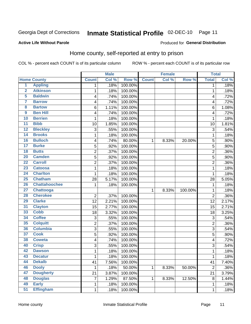**Active Life Without Parole** 

#### Inmate Statistical Profile 02-DEC-10 Page 11

Produced for General Distribution

# Home county, self-reported at entry to prison

COL % - percent each COUNT is of its particular column

|                         |                      |                | <b>Male</b> |         |              | <b>Female</b> |         | <b>Total</b>            |       |
|-------------------------|----------------------|----------------|-------------|---------|--------------|---------------|---------|-------------------------|-------|
|                         | <b>Home County</b>   | <b>Count</b>   | Col %       | Row %   | <b>Count</b> | Col %         | Row %   | <b>Total</b>            | Col % |
| $\overline{1}$          | <b>Appling</b>       | 1              | .18%        | 100.00% |              |               |         | 1                       | .18%  |
| $\overline{2}$          | <b>Atkinson</b>      | 1              | .18%        | 100.00% |              |               |         | 1                       | .18%  |
| 5                       | <b>Baldwin</b>       | 4              | .74%        | 100.00% |              |               |         | $\overline{\mathbf{4}}$ | .72%  |
| 7                       | <b>Barrow</b>        | 4              | .74%        | 100.00% |              |               |         | 4                       | .72%  |
| $\overline{\mathbf{8}}$ | <b>Bartow</b>        | 6              | 1.11%       | 100.00% |              |               |         | 6                       | 1.08% |
| $\boldsymbol{9}$        | <b>Ben Hill</b>      | 4              | .74%        | 100.00% |              |               |         | 4                       | .72%  |
| 10                      | <b>Berrien</b>       | 1              | .18%        | 100.00% |              |               |         | 1                       | .18%  |
| $\overline{11}$         | <b>Bibb</b>          | 10             | 1.85%       | 100.00% |              |               |         | 10                      | 1.81% |
| 12                      | <b>Bleckley</b>      | 3              | .55%        | 100.00% |              |               |         | 3                       | .54%  |
| 14                      | <b>Brooks</b>        | 1              | .18%        | 100.00% |              |               |         | 1                       | .18%  |
| 16                      | <b>Bulloch</b>       | 4              | .74%        | 80.00%  | 1            | 8.33%         | 20.00%  | 5                       | .90%  |
| 17                      | <b>Burke</b>         | 5              | .92%        | 100.00% |              |               |         | 5                       | .90%  |
| 18                      | <b>Butts</b>         | $\overline{2}$ | .37%        | 100.00% |              |               |         | $\overline{2}$          | .36%  |
| 20                      | <b>Camden</b>        | 5              | .92%        | 100.00% |              |               |         | 5                       | .90%  |
| $\overline{22}$         | <b>Carroll</b>       | $\overline{2}$ | .37%        | 100.00% |              |               |         | $\overline{2}$          | .36%  |
| 23                      | <b>Catoosa</b>       | 1              | .18%        | 100.00% |              |               |         | 1                       | .18%  |
| 24                      | <b>Charlton</b>      | 1              | .18%        | 100.00% |              |               |         | 1                       | .18%  |
| $\overline{25}$         | <b>Chatham</b>       | 28             | 5.17%       | 100.00% |              |               |         | 28                      | 5.05% |
| 26                      | <b>Chattahoochee</b> | 1              | .18%        | 100.00% |              |               |         | 1                       | .18%  |
| 27                      | <b>Chattooga</b>     |                |             |         | 1            | 8.33%         | 100.00% | 1                       | .18%  |
| 28                      | <b>Cherokee</b>      | $\overline{2}$ | .37%        | 100.00% |              |               |         | $\overline{2}$          | .36%  |
| 29                      | <b>Clarke</b>        | 12             | 2.21%       | 100.00% |              |               |         | 12                      | 2.17% |
| 31                      | <b>Clayton</b>       | 15             | 2.77%       | 100.00% |              |               |         | 15                      | 2.71% |
| 33                      | <b>Cobb</b>          | 18             | 3.32%       | 100.00% |              |               |         | 18                      | 3.25% |
| 34                      | <b>Coffee</b>        | 3              | .55%        | 100.00% |              |               |         | 3                       | .54%  |
| 35                      | <b>Colquitt</b>      | 2              | .37%        | 100.00% |              |               |         | $\overline{2}$          | .36%  |
| 36                      | <b>Columbia</b>      | $\overline{3}$ | .55%        | 100.00% |              |               |         | 3                       | .54%  |
| 37                      | <b>Cook</b>          | 5              | .92%        | 100.00% |              |               |         | 5                       | .90%  |
| 38                      | <b>Coweta</b>        | 4              | .74%        | 100.00% |              |               |         | 4                       | .72%  |
| 40                      | <b>Crisp</b>         | 3              | .55%        | 100.00% |              |               |         | 3                       | .54%  |
| 42                      | <b>Dawson</b>        | 1              | .18%        | 100.00% |              |               |         | 1                       | .18%  |
| 43                      | <b>Decatur</b>       | 1              | .18%        | 100.00% |              |               |         | 1                       | .18%  |
| 44                      | <b>Dekalb</b>        | 41             | 7.56%       | 100.00% |              |               |         | 41                      | 7.40% |
| 46                      | <b>Dooly</b>         | 1              | .18%        | 50.00%  | 1            | 8.33%         | 50.00%  | $\overline{2}$          | .36%  |
| 47                      | <b>Dougherty</b>     | 21             | 3.87%       | 100.00% |              |               |         | 21                      | 3.79% |
| 48                      | <b>Douglas</b>       | 7              | 1.29%       | 87.50%  | 1            | 8.33%         | 12.50%  | 8                       | 1.44% |
| 49                      | <b>Early</b>         | 1              | .18%        | 100.00% |              |               |         | 1                       | .18%  |
| 51                      | <b>Effingham</b>     | $\mathbf 1$    | .18%        | 100.00% |              |               |         | 1                       | .18%  |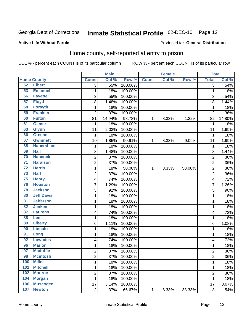#### Inmate Statistical Profile 02-DEC-10 Page 12

#### **Active Life Without Parole**

#### Produced for General Distribution

### Home county, self-reported at entry to prison

COL % - percent each COUNT is of its particular column

|                 |                    |                         | <b>Male</b> |         |              | <b>Female</b> |        | <b>Total</b>   |         |
|-----------------|--------------------|-------------------------|-------------|---------|--------------|---------------|--------|----------------|---------|
|                 | <b>Home County</b> | <b>Count</b>            | Col %       | Row %   | <b>Count</b> | Col %         | Row %  | <b>Total</b>   | Col %   |
| 52              | <b>Elbert</b>      | $\overline{3}$          | .55%        | 100.00% |              |               |        | 3              | .54%    |
| 53              | <b>Emanuel</b>     | $\mathbf{1}$            | .18%        | 100.00% |              |               |        | 1              | .18%    |
| 56              | <b>Fayette</b>     | 3                       | .55%        | 100.00% |              |               |        | 3              | .54%    |
| 57              | <b>Floyd</b>       | 8                       | 1.48%       | 100.00% |              |               |        | 8              | 1.44%   |
| 58              | <b>Forsyth</b>     | $\mathbf 1$             | .18%        | 100.00% |              |               |        | 1              | .18%    |
| 59              | <b>Franklin</b>    | $\overline{2}$          | .37%        | 100.00% |              |               |        | $\overline{2}$ | .36%    |
| 60              | <b>Fulton</b>      | 81                      | 14.94%      | 98.78%  | 1            | 8.33%         | 1.22%  | 82             | 14.80%  |
| 61              | <b>Gilmer</b>      | 1                       | .18%        | 100.00% |              |               |        | 1              | .18%    |
| 63              | <b>Glynn</b>       | 11                      | 2.03%       | 100.00% |              |               |        | 11             | 1.99%   |
| 66              | <b>Greene</b>      | $\mathbf{1}$            | .18%        | 100.00% |              |               |        | 1              | .18%    |
| 67              | <b>Gwinnett</b>    | 10                      | 1.85%       | 90.91%  | 1            | 8.33%         | 9.09%  | 11             | 1.99%   |
| 68              | <b>Habersham</b>   | $\mathbf 1$             | .18%        | 100.00% |              |               |        | 1              | .18%    |
| 69              | <b>Hall</b>        | 8                       | 1.48%       | 100.00% |              |               |        | 8              | 1.44%   |
| 70              | <b>Hancock</b>     | $\overline{c}$          | .37%        | 100.00% |              |               |        | $\overline{c}$ | .36%    |
| $\overline{71}$ | <b>Haralson</b>    | $\overline{c}$          | .37%        | 100.00% |              |               |        | $\overline{2}$ | .36%    |
| $\overline{72}$ | <b>Harris</b>      | $\mathbf{1}$            | .18%        | 50.00%  | 1            | 8.33%         | 50.00% | $\overline{2}$ | .36%    |
| 73              | <b>Hart</b>        | $\overline{c}$          | .37%        | 100.00% |              |               |        | 2              | .36%    |
| 75              | <b>Henry</b>       | 4                       | .74%        | 100.00% |              |               |        | 4              | .72%    |
| 76              | <b>Houston</b>     | $\overline{7}$          | 1.29%       | 100.00% |              |               |        | 7              | 1.26%   |
| 78              | <b>Jackson</b>     | 5                       | .92%        | 100.00% |              |               |        | 5              | .90%    |
| 80              | <b>Jeff Davis</b>  | $\mathbf 1$             | .18%        | 100.00% |              |               |        | 1              | .18%    |
| $\overline{81}$ | <b>Jefferson</b>   | $\mathbf 1$             | .18%        | 100.00% |              |               |        | 1              | .18%    |
| 82              | <b>Jenkins</b>     | $\mathbf 1$             | .18%        | 100.00% |              |               |        | 1              | .18%    |
| 87              | <b>Laurens</b>     | 4                       | .74%        | 100.00% |              |               |        | 4              | .72%    |
| 88              | Lee                | $\mathbf 1$             | .18%        | 100.00% |              |               |        | 1              | .18%    |
| 89              | <b>Liberty</b>     | 6                       | 1.11%       | 100.00% |              |               |        | 6              | 1.08%   |
| 90              | <b>Lincoln</b>     | $\mathbf 1$             | .18%        | 100.00% |              |               |        | 1              | .18%    |
| 91              | Long               | $\mathbf{1}$            | .18%        | 100.00% |              |               |        | 1              | .18%    |
| 92              | <b>Lowndes</b>     | $\overline{\mathbf{4}}$ | .74%        | 100.00% |              |               |        | 4              | .72%    |
| 96              | <b>Marion</b>      | $\mathbf 1$             | .18%        | 100.00% |              |               |        | 1              | .18%    |
| 97              | <b>Mcduffie</b>    | $\overline{c}$          | .37%        | 100.00% |              |               |        | $\overline{c}$ | $.36\%$ |
| 98              | <b>Mcintosh</b>    | 2                       | .37%        | 100.00% |              |               |        | 2              | $.36\%$ |
| 100             | <b>Miller</b>      | $\mathbf 1$             | .18%        | 100.00% |              |               |        | 1              | .18%    |
| 101             | <b>Mitchell</b>    | $\mathbf{1}$            | .18%        | 100.00% |              |               |        | 1              | .18%    |
| 102             | <b>Monroe</b>      | $\overline{c}$          | .37%        | 100.00% |              |               |        | 2              | .36%    |
| 104             | <b>Morgan</b>      | $\mathbf{1}$            | .18%        | 100.00% |              |               |        | 1              | .18%    |
| 106             | <b>Muscogee</b>    | 17                      | 3.14%       | 100.00% |              |               |        | 17             | 3.07%   |
| 107             | <b>Newton</b>      | $\overline{2}$          | .37%        | 66.67%  | $\mathbf 1$  | 8.33%         | 33.33% | 3              | .54%    |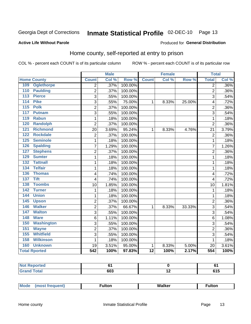#### Inmate Statistical Profile 02-DEC-10 Page 13

#### **Active Life Without Parole**

#### Produced for General Distribution

### Home county, self-reported at entry to prison

COL % - percent each COUNT is of its particular column

|     |                      |                         | <b>Male</b> |         |                 | <b>Female</b> |        | <b>Total</b>   |       |
|-----|----------------------|-------------------------|-------------|---------|-----------------|---------------|--------|----------------|-------|
|     | <b>Home County</b>   | <b>Count</b>            | Col %       | Row %   | <b>Count</b>    | Col %         | Row %  | <b>Total</b>   | Col % |
| 109 | <b>Oglethorpe</b>    | $\overline{2}$          | .37%        | 100.00% |                 |               |        | $\overline{2}$ | .36%  |
| 110 | <b>Paulding</b>      | 2                       | .37%        | 100.00% |                 |               |        | $\overline{2}$ | .36%  |
| 113 | <b>Pierce</b>        | 3                       | .55%        | 100.00% |                 |               |        | 3              | .54%  |
| 114 | <b>Pike</b>          | 3                       | .55%        | 75.00%  | $\mathbf{1}$    | 8.33%         | 25.00% | 4              | .72%  |
| 115 | <b>Polk</b>          | $\overline{2}$          | .37%        | 100.00% |                 |               |        | $\overline{2}$ | .36%  |
| 117 | <b>Putnam</b>        | 3                       | .55%        | 100.00% |                 |               |        | 3              | .54%  |
| 119 | <b>Rabun</b>         | 1                       | .18%        | 100.00% |                 |               |        | 1              | .18%  |
| 120 | Randolph             | $\overline{2}$          | .37%        | 100.00% |                 |               |        | $\overline{2}$ | .36%  |
| 121 | <b>Richmond</b>      | 20                      | 3.69%       | 95.24%  | $\mathbf{1}$    | 8.33%         | 4.76%  | 21             | 3.79% |
| 122 | <b>Rockdale</b>      | $\overline{\mathbf{c}}$ | .37%        | 100.00% |                 |               |        | $\overline{2}$ | .36%  |
| 125 | <b>Seminole</b>      | 1                       | .18%        | 100.00% |                 |               |        | 1              | .18%  |
| 126 | <b>Spalding</b>      | 7                       | 1.29%       | 100.00% |                 |               |        | 7              | 1.26% |
| 127 | <b>Stephens</b>      | $\overline{2}$          | .37%        | 100.00% |                 |               |        | $\overline{2}$ | .36%  |
| 129 | <b>Sumter</b>        | 1                       | .18%        | 100.00% |                 |               |        | 1              | .18%  |
| 132 | <b>Tattnall</b>      | 1                       | .18%        | 100.00% |                 |               |        | 1              | .18%  |
| 134 | <b>Telfair</b>       | 1                       | .18%        | 100.00% |                 |               |        | 1              | .18%  |
| 136 | <b>Thomas</b>        | 4                       | .74%        | 100.00% |                 |               |        | $\overline{4}$ | .72%  |
| 137 | <b>Tift</b>          | 4                       | .74%        | 100.00% |                 |               |        | $\overline{4}$ | .72%  |
| 138 | <b>Toombs</b>        | 10                      | 1.85%       | 100.00% |                 |               |        | 10             | 1.81% |
| 142 | <b>Turner</b>        | $\mathbf{1}$            | .18%        | 100.00% |                 |               |        | 1              | .18%  |
| 144 | <b>Union</b>         | 1                       | .18%        | 100.00% |                 |               |        | 1              | .18%  |
| 145 | <b>Upson</b>         | $\overline{2}$          | .37%        | 100.00% |                 |               |        | $\overline{2}$ | .36%  |
| 146 | <b>Walker</b>        | $\overline{2}$          | .37%        | 66.67%  | 1               | 8.33%         | 33.33% | 3              | .54%  |
| 147 | <b>Walton</b>        | 3                       | .55%        | 100.00% |                 |               |        | 3              | .54%  |
| 148 | <b>Ware</b>          | 6                       | 1.11%       | 100.00% |                 |               |        | 6              | 1.08% |
| 150 | <b>Washington</b>    | 3                       | .55%        | 100.00% |                 |               |        | 3              | .54%  |
| 151 | <b>Wayne</b>         | $\overline{c}$          | .37%        | 100.00% |                 |               |        | $\overline{2}$ | .36%  |
| 155 | <b>Whitfield</b>     | 3                       | .55%        | 100.00% |                 |               |        | 3              | .54%  |
| 158 | <b>Wilkinson</b>     | 1                       | .18%        | 100.00% |                 |               |        | 1              | .18%  |
| 160 | <b>Unknown</b>       | 19                      | 3.51%       | 95.00%  | 1               | 8.33%         | 5.00%  | 20             | 3.61% |
|     | <b>Total Rported</b> | 542                     | 100%        | 97.83%  | $\overline{12}$ | 100%          | 2.17%  | 554            | 100%  |

| Reported |            |                          | -          |
|----------|------------|--------------------------|------------|
| Total    | 603<br>--- | $\overline{\phantom{a}}$ | <b>v</b> v |

| <b>Mode</b> | ∙ultor | <b>Walker</b> | ultor |  |
|-------------|--------|---------------|-------|--|
| $\cdots$    |        |               |       |  |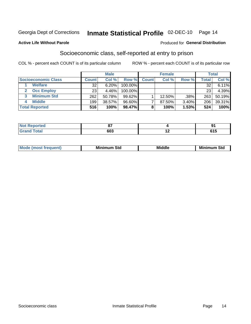# Inmate Statistical Profile 02-DEC-10 Page 14

#### **Active Life Without Parole**

#### Produced for General Distribution

### Socioeconomic class, self-reported at entry to prison

COL % - percent each COUNT is of its particular column

|                       |              | <b>Male</b> |            |              | <b>Female</b> |       |       | <b>Total</b> |
|-----------------------|--------------|-------------|------------|--------------|---------------|-------|-------|--------------|
| Socioeconomic Class   | <b>Count</b> | Col %       | Row %      | <b>Count</b> | Col %         | Row % | Total | Col %        |
| <b>Welfare</b>        | 32           | 6.20%       | 100.00%    |              |               |       | 32    | 6.11%        |
| <b>Occ Employ</b>     | 23           | 4.46%       | $100.00\%$ |              |               |       | 23    | 4.39%        |
| <b>Minimum Std</b>    | 262          | 50.78%      | $99.62\%$  |              | $12.50\%$     | .38%  | 263   | 50.19%       |
| <b>Middle</b>         | 199          | 38.57%      | 96.60%     |              | 87.50%        | 3.40% | 206   | 39.31%       |
| <b>Total Reported</b> | 516          | 100%        | 98.47%     |              | 100%          | 1.53% | 524   | 100%         |

| rtea<br>NO<br><br>. | ~-  | œ     |
|---------------------|-----|-------|
|                     | 603 | .<br> |

|  | Mo | Minin<br>Std<br>$- - - -$ | <b>Middle</b> | Min<br>Std<br>. |
|--|----|---------------------------|---------------|-----------------|
|--|----|---------------------------|---------------|-----------------|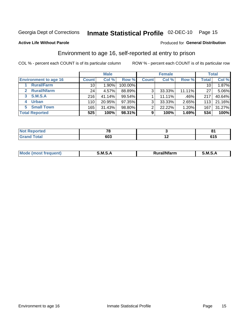# Inmate Statistical Profile 02-DEC-10 Page 15

#### **Active Life Without Parole**

#### **Produced for General Distribution**

### Environment to age 16, self-reported at entry to prison

COL % - percent each COUNT is of its particular column

|                                    |                 | <b>Male</b> |         |                | <b>Female</b> |        |                 | <b>Total</b> |
|------------------------------------|-----------------|-------------|---------|----------------|---------------|--------|-----------------|--------------|
| <b>Environment to age 16</b>       | <b>Count</b>    | Col %       | Row %   | <b>Count</b>   | Col %         | Row %  | <b>Total</b>    | Col %        |
| <b>Rural/Farm</b>                  | 10              | $1.90\%$    | 100.00% |                |               |        | 10 <sub>1</sub> | 1.87%        |
| <b>Rural/Nfarm</b><br>$\mathbf{2}$ | 24 <sub>1</sub> | 4.57%       | 88.89%  | 3 <sub>1</sub> | 33.33%        | 11.11% | 27              | 5.06%        |
| 3 S.M.S.A                          | 216             | 41.14%      | 99.54%  |                | 11.11%        | .46%   | 217             | 40.64%       |
| <b>Urban</b><br>4                  | 110             | 20.95%      | 97.35%  | 3              | 33.33%        | 2.65%  | 113             | 21.16%       |
| <b>Small Town</b><br>5             | 165             | 31.43%      | 98.80%  | 2              | 22.22%        | 1.20%  | 167             | 31.27%       |
| <b>Total Reported</b>              | 525             | 100%        | 98.31%  | 9              | 100%          | 1.69%  | 534             | 100%         |

| Reported<br>NOT.<br>. | --  |     | n.            |
|-----------------------|-----|-----|---------------|
| <b>Total</b>          | 603 | . . | CA E<br>u i j |

| Mo | M<br>______ | <b>17516</b><br><b>Ifarm</b><br>. | -<br>M<br>_____ |
|----|-------------|-----------------------------------|-----------------|
|    |             |                                   |                 |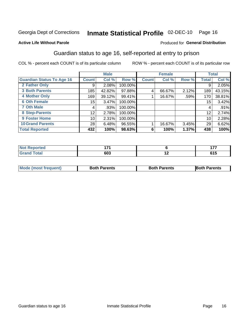# Inmate Statistical Profile 02-DEC-10 Page 16

#### **Active Life Without Parole**

#### Produced for General Distribution

### Guardian status to age 16, self-reported at entry to prison

COL % - percent each COUNT is of its particular column

|                                  |                 | <b>Male</b> |         |              | <b>Female</b> |       |                 | <b>Total</b> |
|----------------------------------|-----------------|-------------|---------|--------------|---------------|-------|-----------------|--------------|
| <b>Guardian Status To Age 16</b> | <b>Count</b>    | Col %       | Row %   | <b>Count</b> | Col %         | Row % | Total           | Col %        |
| 2 Father Only                    | 9               | 2.08%       | 100.00% |              |               |       | 9               | 2.05%        |
| <b>3 Both Parents</b>            | 185             | 42.82%      | 97.88%  | 4            | 66.67%        | 2.12% | 189             | 43.15%       |
| <b>4 Mother Only</b>             | 169             | 39.12%      | 99.41%  |              | 16.67%        | .59%  | 170             | 38.81%       |
| <b>6 Oth Female</b>              | 15              | 3.47%       | 100.00% |              |               |       | 15 <sub>1</sub> | 3.42%        |
| <b>7 Oth Male</b>                | 4               | .93%        | 100.00% |              |               |       | 4               | .91%         |
| 8 Step-Parents                   | 12              | 2.78%       | 100.00% |              |               |       | 12              | 2.74%        |
| 9 Foster Home                    | 10 <sub>1</sub> | 2.31%       | 100.00% |              |               |       | 10              | 2.28%        |
| <b>10 Grand Parents</b>          | 28              | 6.48%       | 96.55%  |              | 16.67%        | 3.45% | 29              | 6.62%        |
| <b>Total Reported</b>            | 432             | 100%        | 98.63%  | 6            | 100%          | 1.37% | 438             | 100%         |

| <b>rted</b><br>. <b>.</b> | --- |     | ---        |
|---------------------------|-----|-----|------------|
| <b>Total</b>              | 603 | . . | .<br>ט ו ט |

| <b>Mode (most frequent)</b> | <b>Both Parents</b> | <b>Both Parents</b> | <b>Both Parents</b> |
|-----------------------------|---------------------|---------------------|---------------------|
|                             |                     |                     |                     |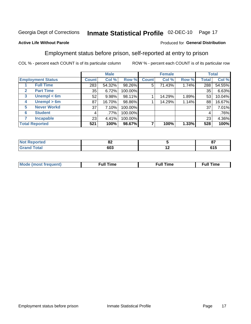#### Inmate Statistical Profile 02-DEC-10 Page 17

#### **Active Life Without Parole**

#### Produced for General Distribution

### Employment status before prison, self-reported at entry to prison

COL % - percent each COUNT is of its particular column

|                                  |              | <b>Male</b> |         |              | <b>Female</b> |       |              | <b>Total</b> |
|----------------------------------|--------------|-------------|---------|--------------|---------------|-------|--------------|--------------|
| <b>Employment Status</b>         | <b>Count</b> | Col %       | Row %   | <b>Count</b> | Col %         | Row % | <b>Total</b> | Col %        |
| <b>Full Time</b>                 | 283          | 54.32%      | 98.26%  | 5            | 71.43%        | 1.74% | 288          | 54.55%       |
| <b>Part Time</b><br>$\mathbf{2}$ | 35           | 6.72%       | 100.00% |              |               |       | 35           | 6.63%        |
| Unempl $<$ 6m<br>$\mathbf{3}$    | 52           | 9.98%       | 98.11%  |              | 14.29%        | 1.89% | 53           | 10.04%       |
| Unempl > 6m<br>4                 | 87           | 16.70%      | 98.86%  |              | 14.29%        | 1.14% | 88           | 16.67%       |
| <b>Never Workd</b><br>5          | 37           | 7.10%       | 100.00% |              |               |       | 37           | 7.01%        |
| <b>Student</b><br>6              | 4            | $.77\%$     | 100.00% |              |               |       | 4            | .76%         |
| <b>Incapable</b>                 | 23           | 4.41%       | 100.00% |              |               |       | 23           | 4.36%        |
| <b>Total Reported</b>            | 521          | 100%        | 98.67%  |              | 100%          | 1.33% | 528          | 100%         |

| ימש<br>тео. | UΖ  |     | --<br>$-$ |
|-------------|-----|-----|-----------|
|             | 603 | . . | .<br>טונ  |

| Mc | ∙u∥<br>----<br>ıme | ίuΙ<br>Πmε |
|----|--------------------|------------|
|    |                    |            |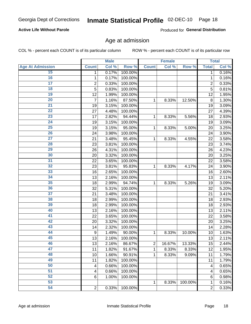# Inmate Statistical Profile 02-DEC-10 Page 18

#### **Active Life Without Parole**

Produced for General Distribution

### Age at admission

COL % - percent each COUNT is of its particular column

|                         |                         | <b>Male</b> |         |                | <b>Female</b> |         |                | <b>Total</b> |
|-------------------------|-------------------------|-------------|---------|----------------|---------------|---------|----------------|--------------|
| <b>Age At Admission</b> | <b>Count</b>            | Col %       | Row %   | <b>Count</b>   | Col %         | Row %   | <b>Total</b>   | Col %        |
| 15                      | 1                       | 0.17%       | 100.00% |                |               |         | 1              | 0.16%        |
| 16                      | 1                       | 0.17%       | 100.00% |                |               |         | $\mathbf{1}$   | 0.16%        |
| $\overline{17}$         | $\overline{\mathbf{c}}$ | 0.33%       | 100.00% |                |               |         | $\overline{2}$ | 0.33%        |
| 18                      | 5                       | 0.83%       | 100.00% |                |               |         | 5              | 0.81%        |
| 19                      | 12                      | 1.99%       | 100.00% |                |               |         | 12             | 1.95%        |
| $\overline{20}$         | 7                       | 1.16%       | 87.50%  | 1              | 8.33%         | 12.50%  | 8              | 1.30%        |
| 21                      | 19                      | 3.15%       | 100.00% |                |               |         | 19             | 3.09%        |
| 22                      | 27                      | 4.48%       | 100.00% |                |               |         | 27             | 4.39%        |
| 23                      | 17                      | 2.82%       | 94.44%  | 1              | 8.33%         | 5.56%   | 18             | 2.93%        |
| 24                      | 19                      | 3.15%       | 100.00% |                |               |         | 19             | 3.09%        |
| $\overline{25}$         | 19                      | 3.15%       | 95.00%  | 1              | 8.33%         | 5.00%   | 20             | 3.25%        |
| 26                      | 24                      | 3.98%       | 100.00% |                |               |         | 24             | 3.90%        |
| $\overline{27}$         | 21                      | 3.48%       | 95.45%  | $\mathbf{1}$   | 8.33%         | 4.55%   | 22             | 3.58%        |
| 28                      | 23                      | 3.81%       | 100.00% |                |               |         | 23             | 3.74%        |
| 29                      | 26                      | 4.31%       | 100.00% |                |               |         | 26             | 4.23%        |
| 30                      | 20                      | 3.32%       | 100.00% |                |               |         | 20             | 3.25%        |
| $\overline{31}$         | 22                      | 3.65%       | 100.00% |                |               |         | 22             | 3.58%        |
| 32                      | 23                      | 3.81%       | 95.83%  | 1              | 8.33%         | 4.17%   | 24             | 3.90%        |
| 33                      | 16                      | 2.65%       | 100.00% |                |               |         | 16             | 2.60%        |
| 34                      | 13                      | 2.16%       | 100.00% |                |               |         | 13             | 2.11%        |
| 35                      | 18                      | 2.99%       | 94.74%  | 1              | 8.33%         | 5.26%   | 19             | 3.09%        |
| 36                      | 32                      | 5.31%       | 100.00% |                |               |         | 32             | 5.20%        |
| $\overline{37}$         | 21                      | 3.48%       | 100.00% |                |               |         | 21             | 3.41%        |
| 38                      | 18                      | 2.99%       | 100.00% |                |               |         | 18             | 2.93%        |
| 39                      | 18                      | 2.99%       | 100.00% |                |               |         | 18             | 2.93%        |
| 40                      | 13                      | 2.16%       | 100.00% |                |               |         | 13             | 2.11%        |
| 41                      | 22                      | 3.65%       | 100.00% |                |               |         | 22             | 3.58%        |
| 42                      | 20                      | 3.32%       | 100.00% |                |               |         | 20             | 3.25%        |
| 43                      | 14                      | 2.32%       | 100.00% |                |               |         | 14             | 2.28%        |
| 44                      | 9                       | 1.49%       | 90.00%  | 1              | 8.33%         | 10.00%  | 10             | 1.63%        |
| 45                      | 13                      | 2.16%       | 100.00% |                |               |         | 13             | 2.11%        |
| 46                      | 13                      | 2.16%       | 86.67%  | $\overline{2}$ | 16.67%        | 13.33%  | 15             | 2.44%        |
| 47                      | 11                      | 1.82%       | 91.67%  | 1              | 8.33%         | 8.33%   | 12             | 1.95%        |
| 48                      | 10                      | 1.66%       | 90.91%  | 1              | 8.33%         | 9.09%   | 11             | 1.79%        |
| 49                      | 11                      | 1.82%       | 100.00% |                |               |         | 11             | 1.79%        |
| 50                      | 4                       | 0.66%       | 100.00% |                |               |         | 4              | 0.65%        |
| $\overline{51}$         | 4                       | 0.66%       | 100.00% |                |               |         | 4              | 0.65%        |
| 52                      | $6\phantom{1}6$         | 1.00%       | 100.00% |                |               |         | 6              | 0.98%        |
| 53                      |                         |             |         | 1              | 8.33%         | 100.00% | 1              | 0.16%        |
| 54                      | $\overline{2}$          | 0.33%       | 100.00% |                |               |         | $\overline{2}$ | 0.33%        |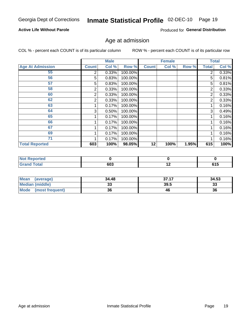# Inmate Statistical Profile 02-DEC-10 Page 19

#### **Active Life Without Parole**

Produced for General Distribution

### Age at admission

COL % - percent each COUNT is of its particular column

|                         |              | <b>Male</b> |         |              | <b>Female</b> |       |       | <b>Total</b> |
|-------------------------|--------------|-------------|---------|--------------|---------------|-------|-------|--------------|
| <b>Age At Admission</b> | <b>Count</b> | Col %       | Row %   | <b>Count</b> | Col %         | Row % | Total | Col %        |
| 55                      | 2            | 0.33%       | 100.00% |              |               |       | 2     | 0.33%        |
| 56                      | 5            | 0.83%       | 100.00% |              |               |       | 5     | 0.81%        |
| 57                      | 5            | 0.83%       | 100.00% |              |               |       | 5     | 0.81%        |
| 58                      | 2            | 0.33%       | 100.00% |              |               |       | 2     | 0.33%        |
| 60                      | 2            | 0.33%       | 100.00% |              |               |       | 2     | 0.33%        |
| 62                      | 2            | 0.33%       | 100.00% |              |               |       | 2     | 0.33%        |
| 63                      |              | 0.17%       | 100.00% |              |               |       |       | 0.16%        |
| 64                      | 3            | 0.50%       | 100.00% |              |               |       | 3     | 0.49%        |
| 65                      |              | 0.17%       | 100.00% |              |               |       |       | 0.16%        |
| 66                      |              | 0.17%       | 100.00% |              |               |       |       | 0.16%        |
| 67                      |              | 0.17%       | 100.00% |              |               |       |       | 0.16%        |
| 69                      |              | 0.17%       | 100.00% |              |               |       |       | 0.16%        |
| 71                      |              | 0.17%       | 100.00% |              |               |       |       | 0.16%        |
| <b>Total Reported</b>   | 603          | 100%        | 98.05%  | 12           | 100%          | 1.95% | 615   | 100%         |

| Reported<br>NA               |     |     |                             |
|------------------------------|-----|-----|-----------------------------|
| <b>Total</b><br><b>Grand</b> | 603 | . . | $\sim$ $\sim$ $\sim$<br>טוט |

| <b>Mean</b><br>(average) | 34.48 | 37.17 | 34.53 |
|--------------------------|-------|-------|-------|
| <b>Median (middle)</b>   | JJ    | 39.5  | 33    |
| Mode<br>(most frequent)  | 36    | 46    | 36    |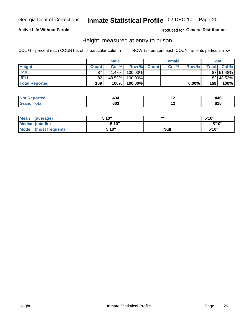# Inmate Statistical Profile 02-DEC-10 Page 20

#### **Active Life Without Parole**

Produced for General Distribution

### Height, measured at entry to prison

COL % - percent each COUNT is of its particular column

|                       |              | <b>Male</b> |         |              | <b>Female</b> |       |                  | Total     |
|-----------------------|--------------|-------------|---------|--------------|---------------|-------|------------------|-----------|
| <b>Height</b>         | <b>Count</b> | Col %       | Row %   | <b>Count</b> | Col %         | Row % | <b>Total</b> I   | Col %     |
| 5'10''                | 87           | 51.48%      | 100.00% |              |               |       |                  | 87 51.48% |
| 5'11''                | 82           | 48.52%      | 100.00% |              |               |       |                  | 82 48.52% |
| <b>Total Reported</b> | 169          | 100%        | 100.00% |              |               | 0.00% | 169 <sub>1</sub> | 100%      |

| <b>Reported</b> | .<br>.34<br>___ | . . | A A C<br>440<br>__ |
|-----------------|-----------------|-----|--------------------|
| `otal           | 603             | . . | ノーン                |

| <b>Mean</b><br>(average) | 5'10" | ш           | 5'10"  |
|--------------------------|-------|-------------|--------|
| <b>Median (middle)</b>   | 5'10" |             | 5'10'' |
| Mode<br>(most frequent)  | 5'10" | <b>Null</b> | 5'10'' |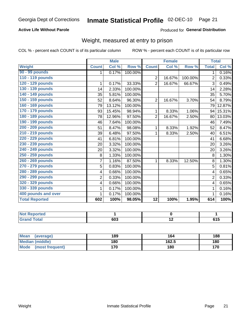# Inmate Statistical Profile 02-DEC-10 Page 21

#### **Active Life Without Parole**

#### Produced for General Distribution

## Weight, measured at entry to prison

COL % - percent each COUNT is of its particular column

|                       |                | <b>Male</b> |         |                 | <b>Female</b> |         | <b>Total</b>   |                            |
|-----------------------|----------------|-------------|---------|-----------------|---------------|---------|----------------|----------------------------|
| <b>Weight</b>         | <b>Count</b>   | Col %       | Row %   | <b>Count</b>    | Col %         | Row %   | <b>Total</b>   | $\overline{\text{Col }^9}$ |
| 90 - 99 pounds        | 1              | 0.17%       | 100.00% |                 |               |         | 1.             | 0.16%                      |
| 110 - 119 pounds      |                |             |         | $\overline{2}$  | 16.67%        | 100.00% | $\overline{2}$ | 0.33%                      |
| 120 - 129 pounds      | 1              | 0.17%       | 33.33%  | $\overline{2}$  | 16.67%        | 66.67%  | 3              | 0.49%                      |
| 130 - 139 pounds      | 14             | 2.33%       | 100.00% |                 |               |         | 14             | 2.28%                      |
| 140 - 149 pounds      | 35             | 5.81%       | 100.00% |                 |               |         | 35             | 5.70%                      |
| 150 - 159 pounds      | 52             | 8.64%       | 96.30%  | $\overline{2}$  | 16.67%        | 3.70%   | 54             | 8.79%                      |
| 160 - 169 pounds      | 79             | 13.12%      | 100.00% |                 |               |         | 79             | 12.87%                     |
| 170 - 179 pounds      | 93             | 15.45%      | 98.94%  | 1               | 8.33%         | 1.06%   | 94             | 15.31%                     |
| 180 - 189 pounds      | 78             | 12.96%      | 97.50%  | $\overline{2}$  | 16.67%        | 2.50%   | 80             | 13.03%                     |
| 190 - 199 pounds      | 46             | 7.64%       | 100.00% |                 |               |         | 46             | 7.49%                      |
| 200 - 209 pounds      | 51             | 8.47%       | 98.08%  | 1               | 8.33%         | 1.92%   | 52             | 8.47%                      |
| 210 - 219 pounds      | 39             | 6.48%       | 97.50%  | 1               | 8.33%         | 2.50%   | 40             | 6.51%                      |
| 220 - 229 pounds      | 41             | 6.81%       | 100.00% |                 |               |         | 41             | 6.68%                      |
| 230 - 239 pounds      | 20             | 3.32%       | 100.00% |                 |               |         | 20             | 3.26%                      |
| 240 - 249 pounds      | 20             | 3.32%       | 100.00% |                 |               |         | 20             | 3.26%                      |
| 250 - 259 pounds      | 8              | 1.33%       | 100.00% |                 |               |         | 8              | 1.30%                      |
| 260 - 269 pounds      | $\overline{7}$ | 1.16%       | 87.50%  | 1               | 8.33%         | 12.50%  | 8              | 1.30%                      |
| 270 - 279 pounds      | 5              | 0.83%       | 100.00% |                 |               |         | 5              | 0.81%                      |
| 280 - 289 pounds      | 4              | 0.66%       | 100.00% |                 |               |         | 4              | 0.65%                      |
| 290 - 299 pounds      | $\overline{2}$ | 0.33%       | 100.00% |                 |               |         | $\overline{2}$ | 0.33%                      |
| 320 - 329 pounds      | 4              | 0.66%       | 100.00% |                 |               |         | 4              | 0.65%                      |
| 330 - 339 pounds      | 1              | 0.17%       | 100.00% |                 |               |         | 1              | 0.16%                      |
| 400 pounds and over   | 1              | 0.17%       | 100.00% |                 |               |         |                | 0.16%                      |
| <b>Total Reported</b> | 602            | 100%        | 98.05%  | $\overline{12}$ | 100%          | 1.95%   | 614            | 100%                       |

| <b>Not Reported</b>    |     |     |       |
|------------------------|-----|-----|-------|
| <b>Total</b><br>l Gran | 603 | . . | u I J |

| <b>Mean</b><br>(average)       | 189 | 164   | 188 |
|--------------------------------|-----|-------|-----|
| <b>Median (middle)</b>         | 180 | 162.5 | 180 |
| <b>Mode</b><br>(most frequent) | 170 | 180   | 170 |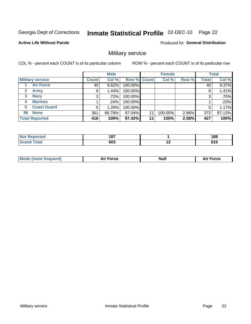#### Inmate Statistical Profile 02-DEC-10 Page 22

**Active Life Without Parole** 

Produced for General Distribution

### Military service

COL % - percent each COUNT is of its particular column

|              |                         |              | <b>Male</b> |         |             | <b>Female</b> |       |              | <b>Total</b> |
|--------------|-------------------------|--------------|-------------|---------|-------------|---------------|-------|--------------|--------------|
|              | <b>Military service</b> | <b>Count</b> | Col %       |         | Row % Count | Col %         | Row % | <b>Total</b> | Col %        |
|              | <b>Air Force</b>        | 40           | 9.62%       | 100.00% |             |               |       | 40           | 9.37%        |
| $\mathbf{2}$ | <b>Army</b>             | 6            | 1.44%       | 100.00% |             |               |       | 6            | 1.41%        |
| 3            | <b>Navy</b>             | 3            | .72%        | 100.00% |             |               |       | 3            | .70%         |
| 4            | <b>Marines</b>          |              | .24%        | 100.00% |             |               |       |              | .23%         |
| 5.           | <b>Coast Guard</b>      | 5            | $1.20\%$    | 100.00% |             |               |       | 5            | 1.17%        |
| 96           | <b>None</b>             | 361          | 86.78%      | 97.04%  | 11          | 100.00%       | 2.96% | 372          | 87.12%       |
|              | <b>Total Reported</b>   | 416          | 100%        | 97.42%  | 11          | 100%          | 2.58% | 427          | 100%         |

| วrted<br>'N (                 | 187 |     | 188      |
|-------------------------------|-----|-----|----------|
| <b>otal</b><br><b>'</b> Gran⊾ | 603 | . . | .<br>. . |

|  |  | <b>Mode</b><br>uent)<br>most tren | Force<br>Aır | <b>Null</b> | orce |
|--|--|-----------------------------------|--------------|-------------|------|
|--|--|-----------------------------------|--------------|-------------|------|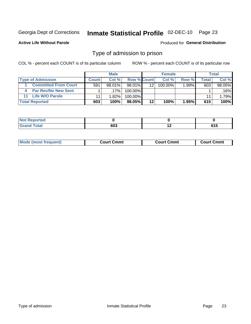#### Inmate Statistical Profile 02-DEC-10 Page 23

**Active Life Without Parole** 

Produced for General Distribution

### Type of admission to prison

COL % - percent each COUNT is of its particular column

|                             |              | <b>Male</b> |                    |                 | <b>Female</b> |          |       | <b>Total</b> |
|-----------------------------|--------------|-------------|--------------------|-----------------|---------------|----------|-------|--------------|
| <b>Type of Admission</b>    | <b>Count</b> | Col%        | <b>Row % Count</b> |                 | Col %         | Row %    | Total | Col %        |
| <b>Committed From Court</b> | 591          | $98.01\%$   | $98.01\%$          | 12 <sup>2</sup> | 100.00%       | $1.99\%$ | 603   | 98.05%       |
| <b>Par Rev/No New Sent</b>  |              | $.17\%$     | 100.00%            |                 |               |          |       | .16%l        |
| <b>Life W/O Parole</b>      |              | $1.82\%$    | 100.00%            |                 |               |          | 11    | 1.79%        |
| <b>Total Reported</b>       | 603          | 100%        | 98.05%             | 12              | 100%          | $1.95\%$ | 615   | 100%         |

| ιθυ              |                   |  |
|------------------|-------------------|--|
| <b>Juan</b><br>- | <b>000</b><br>טפי |  |

| <b>Mode (most frequent)</b> | Court Cmmt | <b>Court Cmmt</b> | Court Cmmt |
|-----------------------------|------------|-------------------|------------|
|                             |            |                   |            |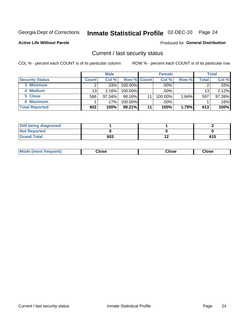# Inmate Statistical Profile 02-DEC-10 Page 24

**Active Life Without Parole** 

#### Produced for General Distribution

### Current / last security status

COL % - percent each COUNT is of its particular column

|                        |              | <b>Male</b> |                    |    | <b>Female</b> |       |                 | <b>Total</b> |
|------------------------|--------------|-------------|--------------------|----|---------------|-------|-----------------|--------------|
| <b>Security Status</b> | <b>Count</b> | Col %       | <b>Row % Count</b> |    | Col %         | Row % | Total           | Col %        |
| 3 Minimum              |              | .33%        | $100.00\%$         |    | .00%          |       |                 | .33%         |
| 4 Medium               | 13           | 2.16%       | 100.00%            |    | $.00\%$       |       | 13 <sub>1</sub> | 2.12%        |
| 5 Close                | 586          | 97.34%      | 98.16%             | 11 | 100.00%       | 1.84% | 597             | 97.39%       |
| <b>6 Maximum</b>       |              | $.17\%$     | 100.00%            |    | .00%          |       |                 | .16%         |
| <b>Total Reported</b>  | 602          | 100%        | 98.21%             | 11 | 100%          | 1.79% | 613             | 100%         |

| <b>Still being diagnosed</b> |     |    |     |
|------------------------------|-----|----|-----|
| <b>Not Reported</b>          |     |    |     |
| <b>Grand Total</b>           | 603 | '' | 615 |

| <b>Mode (most frequent)</b><br>Close | Close | Close |
|--------------------------------------|-------|-------|
|--------------------------------------|-------|-------|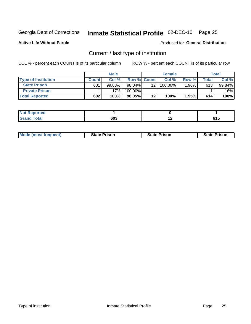# Inmate Statistical Profile 02-DEC-10 Page 25

**Active Life Without Parole** 

Produced for General Distribution

## Current / last type of institution

COL % - percent each COUNT is of its particular column

|                            |              | <b>Male</b> |                    |    | <b>Female</b> |       |                          | <b>Total</b> |
|----------------------------|--------------|-------------|--------------------|----|---------------|-------|--------------------------|--------------|
| <b>Type of Institution</b> | <b>Count</b> | Col %       | <b>Row % Count</b> |    | Col %         | Row % | $\mathsf{Total}_{\perp}$ | Col %        |
| <b>State Prison</b>        | 601          | 99.83%      | $98.04\%$          | 12 | 100.00%       | 1.96% | 613                      | 99.84%       |
| <b>Private Prison</b>      |              | 17%         | 100.00%            |    |               |       |                          | $.16\%$      |
| <b>Total Reported</b>      | 602          | 100%        | $98.05\%$          | 12 | 100%          | 1.95% | 614                      | 100%         |

| الداري الأمير<br>τeα |     |                    |                             |
|----------------------|-----|--------------------|-----------------------------|
| المفحد               | 603 | . .<br><u>. . </u> | $\sim$ $\sim$ $\sim$<br>UIJ |

| <b>Mode (most frequent)</b> | <b>State Prison</b> | <b>State Prison</b> | <b>State Prison</b> |
|-----------------------------|---------------------|---------------------|---------------------|
|                             |                     |                     |                     |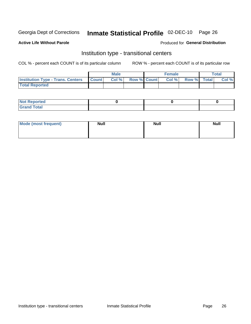# Inmate Statistical Profile 02-DEC-10 Page 26

**Active Life Without Parole** 

#### Produced for General Distribution

### Institution type - transitional centers

COL % - percent each COUNT is of its particular column

|                                          |              | <b>Male</b> |                    | <b>Female</b> |             | <b>Total</b> |
|------------------------------------------|--------------|-------------|--------------------|---------------|-------------|--------------|
| <b>Institution Type - Trans. Centers</b> | <b>Count</b> | CoI%        | <b>Row % Count</b> | Col %         | Row % Total | Col %        |
| <b>Total Reported</b>                    |              |             |                    |               |             |              |

| <b>Reported</b><br><b>NOT</b>  |  |  |
|--------------------------------|--|--|
| $n+n$<br>C <sub>r</sub><br>--- |  |  |

| Mode (most frequent) | <b>Null</b> | <b>Null</b> | <b>Null</b> |
|----------------------|-------------|-------------|-------------|
|                      |             |             |             |
|                      |             |             |             |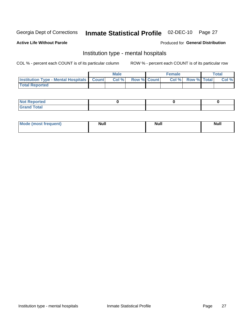# Inmate Statistical Profile 02-DEC-10 Page 27

#### **Active Life Without Parole**

#### Produced for General Distribution

### Institution type - mental hospitals

COL % - percent each COUNT is of its particular column

|                                                  | Male  |                    | <b>Female</b> |                   | <b>Total</b> |
|--------------------------------------------------|-------|--------------------|---------------|-------------------|--------------|
| <b>Institution Type - Mental Hospitals Count</b> | Col % | <b>Row % Count</b> |               | Col % Row % Total | Col %        |
| <b>Total Reported</b>                            |       |                    |               |                   |              |

| <b>Not Reported</b>   |  |  |
|-----------------------|--|--|
| <b>Total</b><br>_____ |  |  |

| Mode.<br>frequent) | <b>Nul</b><br>_____ | <b>Null</b> | <b>Null</b> |
|--------------------|---------------------|-------------|-------------|
|                    |                     |             |             |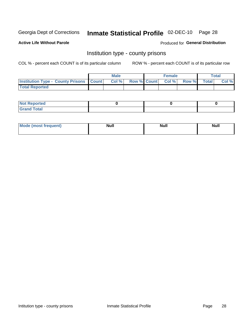# Inmate Statistical Profile 02-DEC-10 Page 28

**Active Life Without Parole** 

**Produced for General Distribution** 

### Institution type - county prisons

COL % - percent each COUNT is of its particular column

|                                                    | <b>Male</b> |                          | <b>Female</b> |             | <b>Total</b> |
|----------------------------------------------------|-------------|--------------------------|---------------|-------------|--------------|
| <b>Institution Type - County Prisons   Count  </b> | Col %       | <b>Row % Count Col %</b> |               | Row % Total | Col %        |
| <b>Total Reported</b>                              |             |                          |               |             |              |

| <b>Not Reported</b>         |  |  |
|-----------------------------|--|--|
| <b>Total</b><br>-<br>______ |  |  |

| <b>Mode</b>      | <b>Null</b> | <b>Null</b> | <b>Null</b> |  |
|------------------|-------------|-------------|-------------|--|
| (most freauent). |             |             |             |  |
|                  |             |             |             |  |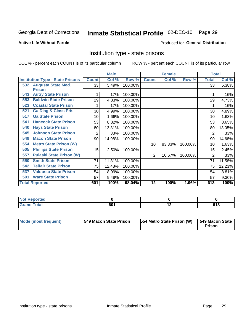# Inmate Statistical Profile 02-DEC-10 Page 29

#### **Active Life Without Parole**

#### Produced for General Distribution

### Institution type - state prisons

COL % - percent each COUNT is of its particular column

|                                         |              | <b>Male</b> |         |                 | <b>Female</b> |         | <b>Total</b>   |        |
|-----------------------------------------|--------------|-------------|---------|-----------------|---------------|---------|----------------|--------|
| <b>Institution Type - State Prisons</b> | <b>Count</b> | Col %       | Row %   | <b>Count</b>    | Col %         | Row %   | <b>Total</b>   | Col %  |
| 532 Augusta State Med.                  | 33           | 5.49%       | 100.00% |                 |               |         | 33             | 5.38%  |
| <b>Prison</b>                           |              |             |         |                 |               |         |                |        |
| <b>Autry State Prison</b><br>543        |              | .17%        | 100.00% |                 |               |         |                | .16%   |
| <b>Baldwin State Prison</b><br>553      | 29           | 4.83%       | 100.00% |                 |               |         | 29             | 4.73%  |
| <b>Coastal State Prison</b><br>523      |              | .17%        | 100.00% |                 |               |         |                | .16%   |
| <b>Ga Diag &amp; Class Pris</b><br>521  | 30           | 4.99%       | 100.00% |                 |               |         | 30             | 4.89%  |
| <b>Ga State Prison</b><br>517           | 10           | 1.66%       | 100.00% |                 |               |         | 10             | 1.63%  |
| <b>Hancock State Prison</b><br>541      | 53           | 8.82%       | 100.00% |                 |               |         | 53             | 8.65%  |
| <b>Hays State Prison</b><br>540         | 80           | 13.31%      | 100.00% |                 |               |         | 80             | 13.05% |
| <b>Johnson State Prison</b><br>545      | 2            | .33%        | 100.00% |                 |               |         | 2              | .33%   |
| <b>Macon State Prison</b><br>549        | 90           | 14.98%      | 100.00% |                 |               |         | 90             | 14.68% |
| <b>Metro State Prison (W)</b><br>554    |              |             |         | 10 <sup>1</sup> | 83.33%        | 100.00% | 10             | 1.63%  |
| <b>Phillips State Prison</b><br>505     | 15           | 2.50%       | 100.00% |                 |               |         | 15             | 2.45%  |
| <b>Pulaski State Prison (W)</b><br>557  |              |             |         | 2               | 16.67%        | 100.00% | $\overline{2}$ | .33%   |
| <b>Smith State Prison</b><br>550        | 71           | 11.81%      | 100.00% |                 |               |         | 71             | 11.58% |
| <b>Telfair State Prison</b><br>542      | 75           | 12.48%      | 100.00% |                 |               |         | 75             | 12.23% |
| <b>Valdosta State Prison</b><br>537     | 54           | 8.99%       | 100.00% |                 |               |         | 54             | 8.81%  |
| <b>Ware State Prison</b><br>501         | 57           | 9.48%       | 100.00% |                 |               |         | 57             | 9.30%  |
| <b>Total Reported</b>                   | 601          | 100%        | 98.04%  | 12              | 100%          | 1.96%   | 613            | 100%   |

| <b>Reported</b><br><b>NOT</b><br> |                   |                          |       |
|-----------------------------------|-------------------|--------------------------|-------|
| Total                             | co.<br>oι<br>$ -$ | $\overline{\phantom{a}}$ | .est- |

| <b>Mode (most frequent)</b> | <b>1549 Macon State Prison</b> | 554 Metro State Prison (W) | $\overline{549}$ Macon State<br><b>Prison</b> |
|-----------------------------|--------------------------------|----------------------------|-----------------------------------------------|
|-----------------------------|--------------------------------|----------------------------|-----------------------------------------------|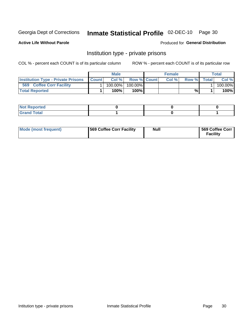# Inmate Statistical Profile 02-DEC-10 Page 30

**Active Life Without Parole** 

Produced for General Distribution

### Institution type - private prisons

COL % - percent each COUNT is of its particular column

|                                           |              | <b>Male</b> |                    | <b>Female</b> |       |              | Total   |
|-------------------------------------------|--------------|-------------|--------------------|---------------|-------|--------------|---------|
| <b>Institution Type - Private Prisons</b> | <b>Count</b> | Col%        | <b>Row % Count</b> | Col%          | Row % | <b>Total</b> | Col %   |
| 569<br><b>Coffee Corr Facility</b>        |              | $100.00\%$  | 100.00%            |               |       |              | 100.00% |
| <b>Total Reported</b>                     |              | $100\%$ .   | 100%               |               | %     |              | 100%    |

| Not Reported |  |  |
|--------------|--|--|
|              |  |  |

| Mode (most frequent) | 569 Coffee Corr Facility | <b>Null</b> | 569 Coffee Corr<br><b>Facility</b> |
|----------------------|--------------------------|-------------|------------------------------------|
|----------------------|--------------------------|-------------|------------------------------------|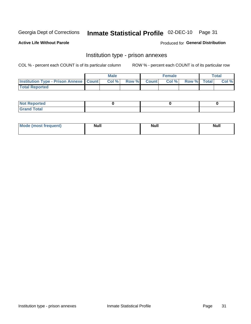# Inmate Statistical Profile 02-DEC-10 Page 31

**Active Life Without Parole** 

Produced for General Distribution

# Institution type - prison annexes

COL % - percent each COUNT is of its particular column

|                                                   | <b>Male</b> |              |       | <b>Female</b> |                    | <b>Total</b> |
|---------------------------------------------------|-------------|--------------|-------|---------------|--------------------|--------------|
| <b>Institution Type - Prison Annexe   Count  </b> | Col %       | <b>Row %</b> | Count | Col %         | <b>Row %</b> Total | Col %        |
| <b>Total Reported</b>                             |             |              |       |               |                    |              |

| <b>Reported</b><br>I NOT |  |  |
|--------------------------|--|--|
| <b>Total</b><br>$C$ ren  |  |  |

| <b>Mode</b>     | <b>Null</b> | <b>Null</b> | <b>Null</b> |
|-----------------|-------------|-------------|-------------|
| most frequent). |             |             |             |
|                 |             |             |             |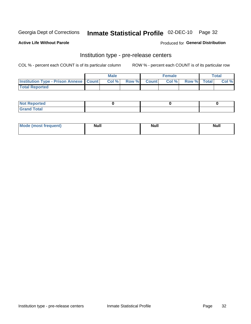# Inmate Statistical Profile 02-DEC-10 Page 32

**Active Life Without Parole** 

**Produced for General Distribution** 

# Institution type - pre-release centers

COL % - percent each COUNT is of its particular column

|                                                   | <b>Male</b> |              |       | <b>Female</b> |                    | <b>Total</b> |
|---------------------------------------------------|-------------|--------------|-------|---------------|--------------------|--------------|
| <b>Institution Type - Prison Annexe   Count  </b> | Col %       | <b>Row %</b> | Count | Col %         | <b>Row %</b> Total | Col %        |
| <b>Total Reported</b>                             |             |              |       |               |                    |              |

| <b>Reported</b><br>I NOT |  |  |
|--------------------------|--|--|
| <b>Total</b><br>$C$ ren  |  |  |

| <b>Mo</b><br>frequent)<br>(most | <b>Null</b> | <b>Null</b> | <b>Null</b> |
|---------------------------------|-------------|-------------|-------------|
|                                 |             |             |             |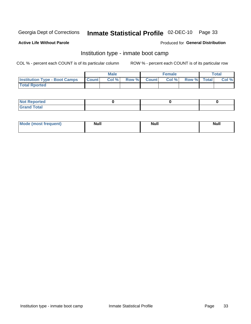# Inmate Statistical Profile 02-DEC-10 Page 33

#### **Active Life Without Parole**

#### **Produced for General Distribution**

### Institution type - inmate boot camp

COL % - percent each COUNT is of its particular column

|                                      |              | <b>Male</b> |               |              | <b>Female</b> |             | <b>Total</b> |
|--------------------------------------|--------------|-------------|---------------|--------------|---------------|-------------|--------------|
| <b>Institution Type - Boot Camps</b> | <b>Count</b> | Col %       | <b>Row %I</b> | <b>Count</b> | Col %         | Row % Total | Col %        |
| <b>Total Rported</b>                 |              |             |               |              |               |             |              |

| <b>Not Reported</b>            |  |  |
|--------------------------------|--|--|
| <b>Total</b><br>C <sub>r</sub> |  |  |

| <b>I Mode (most frequent)</b> | <b>Null</b> | <b>Null</b> | <b>Null</b> |
|-------------------------------|-------------|-------------|-------------|
|                               |             |             |             |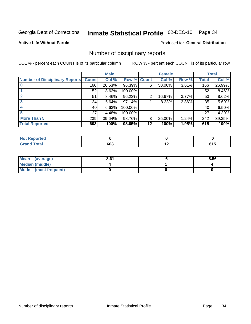# Inmate Statistical Profile 02-DEC-10 Page 34

**Active Life Without Parole** 

**Produced for General Distribution** 

### Number of disciplinary reports

COL % - percent each COUNT is of its particular column

|                                       |              | <b>Male</b> |                    |    | <b>Female</b> |          |       | <b>Total</b> |
|---------------------------------------|--------------|-------------|--------------------|----|---------------|----------|-------|--------------|
| <b>Number of Disciplinary Reports</b> | <b>Count</b> | Col %       | <b>Row % Count</b> |    | Col %         | Row %    | Total | Col %        |
|                                       | 160          | 26.53%      | 96.39%             | 6  | 50.00%        | $3.61\%$ | 166   | 26.99%       |
|                                       | 52           | 8.62%       | 100.00%            |    |               |          | 52    | 8.46%        |
|                                       | 51           | 8.46%       | 96.23%             | 2  | 16.67%        | 3.77%    | 53    | 8.62%        |
| 3                                     | 34           | 5.64%       | 97.14%             |    | 8.33%         | 2.86%    | 35    | 5.69%        |
|                                       | 40           | 6.63%       | 100.00%            |    |               |          | 40    | 6.50%        |
|                                       | 27           | 4.48%       | 100.00%            |    |               |          | 27    | 4.39%        |
| <b>More Than 5</b>                    | 239          | 39.64%      | 98.76%             | 3  | 25.00%        | 1.24%    | 242   | 39.35%       |
| <b>Total Reported</b>                 | 603          | 100%        | 98.05%             | 12 | 100%          | 1.95%    | 615   | 100%         |

| NO.<br>teo |     |             |       |
|------------|-----|-------------|-------|
| Total      | 603 | $\cdot$ $-$ | . . J |

| Mean (average)       | 8.61 | 8.56 |
|----------------------|------|------|
| Median (middle)      |      |      |
| Mode (most frequent) |      |      |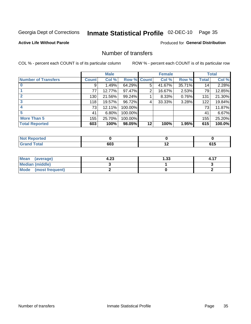# Inmate Statistical Profile 02-DEC-10 Page 35

**Active Life Without Parole** 

**Produced for General Distribution** 

### Number of transfers

COL % - percent each COUNT is of its particular column

|                            |              | <b>Male</b> |             |    | <b>Female</b> |        |              | <b>Total</b> |
|----------------------------|--------------|-------------|-------------|----|---------------|--------|--------------|--------------|
| <b>Number of Transfers</b> | <b>Count</b> | Col %       | Row % Count |    | Col %         | Row %  | <b>Total</b> | Col %        |
|                            | 9            | 1.49%       | 64.29%      | 5  | 41.67%        | 35.71% | 14           | 2.28%        |
|                            | 77           | 12.77%      | 97.47%      | 2  | 16.67%        | 2.53%  | 79           | 12.85%       |
| $\mathbf{2}$               | 130          | 21.56%      | 99.24%      |    | 8.33%         | 0.76%  | 131          | 21.30%       |
| 3                          | 118          | 19.57%      | 96.72%      | 4  | 33.33%        | 3.28%  | 122          | 19.84%       |
|                            | 73           | 12.11%      | 100.00%     |    |               |        | 73           | 11.87%       |
| 5                          | 41           | 6.80%       | 100.00%     |    |               |        | 41           | 6.67%        |
| <b>More Than 5</b>         | 155          | 25.70%      | 100.00%     |    |               |        | 155          | 25.20%       |
| <b>Total Reported</b>      | 603          | 100%        | 98.05%      | 12 | 100%          | 1.95%  | 615          | 100.0%       |

| N<br>тес |     |                          |               |
|----------|-----|--------------------------|---------------|
| Total    | თსა | $\overline{\phantom{0}}$ | v 1 v<br>$ -$ |

| Mean (average)       | 4.23 | 1.33 |  |
|----------------------|------|------|--|
| Median (middle)      |      |      |  |
| Mode (most frequent) |      |      |  |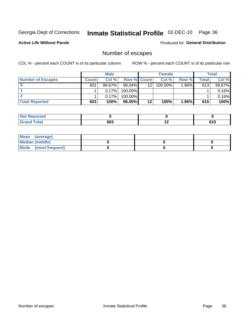# Inmate Statistical Profile 02-DEC-10 Page 36

**Active Life Without Parole** 

Produced for General Distribution

## Number of escapes

COL % - percent each COUNT is of its particular column

|                          |              | <b>Male</b> |                    |    | <b>Female</b> |          |       | <b>Total</b> |
|--------------------------|--------------|-------------|--------------------|----|---------------|----------|-------|--------------|
| <b>Number of Escapes</b> | <b>Count</b> | Col%        | <b>Row % Count</b> |    | Col %         | Row %    | Total | Col %        |
|                          | 601          | $99.67\%$   | $98.04\%$          | 12 | 100.00%       | $1.96\%$ | 613   | 99.67%       |
|                          |              | 0.17%       | 100.00%            |    |               |          |       | 0.16%        |
|                          |              | 0.17%       | 100.00%            |    |               |          |       | 0.16%        |
| <b>Total Reported</b>    | 603          | 100%        | 98.05%             | 12 | 100%          | 1.95%    | 615   | 100%         |

| <b>Not Reported</b> |     |     |             |
|---------------------|-----|-----|-------------|
| <b>Grand Total</b>  | 603 | . . | C4 E<br>UIJ |

| Mean (average)       |  |  |
|----------------------|--|--|
| Median (middle)      |  |  |
| Mode (most frequent) |  |  |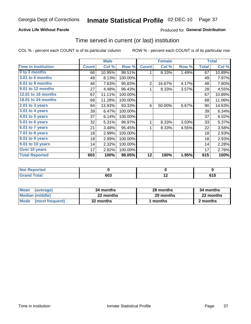## **Active Life Without Parole**

## **Produced for General Distribution**

## Time served in current (or last) institution

COL % - percent each COUNT is of its particular column

|                            |              | <b>Male</b> |         |                | <b>Female</b> |       |              | <b>Total</b> |
|----------------------------|--------------|-------------|---------|----------------|---------------|-------|--------------|--------------|
| <b>Time In Institution</b> | <b>Count</b> | Col %       | Row %   | <b>Count</b>   | Col %         | Row % | <b>Total</b> | Col %        |
| 0 to 3 months              | 66           | 10.95%      | 98.51%  | 1              | 8.33%         | 1.49% | 67           | 10.89%       |
| <b>3.01 to 6 months</b>    | 49           | 8.13%       | 100.00% |                |               |       | 49           | 7.97%        |
| 6.01 to 9 months           | 46           | 7.63%       | 95.83%  | $\overline{2}$ | 16.67%        | 4.17% | 48           | 7.80%        |
| 9.01 to 12 months          | 27           | 4.48%       | 96.43%  |                | 8.33%         | 3.57% | 28           | 4.55%        |
| 12.01 to 18 months         | 67           | 11.11%      | 100.00% |                |               |       | 67           | 10.89%       |
| <b>18.01 to 24 months</b>  | 68           | 11.28%      | 100.00% |                |               |       | 68           | 11.06%       |
| 2.01 to 3 years            | 84           | 13.93%      | 93.33%  | 6              | 50.00%        | 6.67% | 90           | 14.63%       |
| 3.01 to 4 years            | 39           | 6.47%       | 100.00% |                |               |       | 39           | 6.34%        |
| $4.01$ to 5 years          | 37           | 6.14%       | 100.00% |                |               |       | 37           | 6.02%        |
| 5.01 to 6 years            | 32           | 5.31%       | 96.97%  | 1              | 8.33%         | 3.03% | 33           | 5.37%        |
| 6.01 to 7 years            | 21           | 3.48%       | 95.45%  | 1              | 8.33%         | 4.55% | 22           | 3.58%        |
| $7.01$ to 8 years          | 18           | 2.99%       | 100.00% |                |               |       | 18           | 2.93%        |
| 8.01 to 9 years            | 18           | 2.99%       | 100.00% |                |               |       | 18           | 2.93%        |
| 9.01 to 10 years           | 14           | 2.32%       | 100.00% |                |               |       | 14           | 2.28%        |
| Over 10 years              | 17           | 2.82%       | 100.00% |                |               |       | 17           | 2.76%        |
| <b>Total Reported</b>      | 603          | 100%        | 98.05%  | 12             | 100%          | 1.95% | 615          | 100%         |

| Reported<br><b>NOT</b> |            |     |     |
|------------------------|------------|-----|-----|
| <i>i</i> otal          | con<br>ישי | . . | UIJ |

| <b>Mean</b><br>(average) | 34 months | 28 months | 34 months |
|--------------------------|-----------|-----------|-----------|
| Median (middle)          | 22 months | 29 months | 22 months |
| Mode (most frequent)     | 32 months | 1 months  | 2 months  |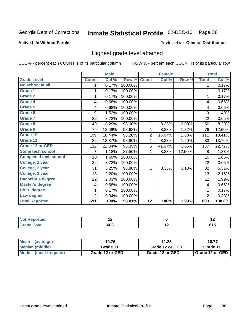# Inmate Statistical Profile 02-DEC-10 Page 38

#### **Active Life Without Parole**

### Produced for General Distribution

## Highest grade level attained

COL % - percent each COUNT is of its particular column

|                              |              | <b>Male</b> |         |                 | <b>Female</b> |        |                | <b>Total</b> |
|------------------------------|--------------|-------------|---------|-----------------|---------------|--------|----------------|--------------|
| <b>Grade Level</b>           | <b>Count</b> | Col %       | Row %   | <b>Count</b>    | Col %         | Row %  | <b>Total</b>   | Col %        |
| No school at all             | 1            | 0.17%       | 100.00% |                 |               |        | 1              | 0.17%        |
| <b>Grade 1</b>               |              | 0.17%       | 100.00% |                 |               |        | 1              | 0.17%        |
| <b>Grade 2</b>               | 1            | 0.17%       | 100.00% |                 |               |        | 1              | 0.17%        |
| Grade 4                      | 4            | 0.68%       | 100.00% |                 |               |        | 4              | 0.66%        |
| Grade 5                      | 4            | 0.68%       | 100.00% |                 |               |        | 4              | 0.66%        |
| Grade 6                      | 9            | 1.52%       | 100.00% |                 |               |        | 9              | 1.49%        |
| <b>Grade 7</b>               | 22           | 3.72%       | 100.00% |                 |               |        | 22             | 3.65%        |
| <b>Grade 8</b>               | 49           | 8.29%       | 98.00%  | 1               | 8.33%         | 2.00%  | 50             | 8.29%        |
| <b>Grade 9</b>               | 75           | 12.69%      | 98.68%  | 1               | 8.33%         | 1.32%  | 76             | 12.60%       |
| Grade 10                     | 109          | 18.44%      | 98.20%  | $\overline{2}$  | 16.67%        | 1.80%  | 111            | 18.41%       |
| Grade 11                     | 82           | 13.87%      | 98.80%  | 1               | 8.33%         | 1.20%  | 83             | 13.76%       |
| <b>Grade 12 or GED</b>       | 132          | 22.34%      | 96.35%  | 5               | 41.67%        | 3.65%  | 137            | 22.72%       |
| <b>Some tech school</b>      | 7            | 1.18%       | 87.50%  | 1               | 8.33%         | 12.50% | 8              | 1.33%        |
| <b>Completed tech school</b> | 10           | 1.69%       | 100.00% |                 |               |        | 10             | 1.66%        |
| College, 1 year              | 22           | 3.72%       | 100.00% |                 |               |        | 22             | 3.65%        |
| College, 2 year              | 31           | 5.25%       | 96.88%  | 1               | 8.33%         | 3.13%  | 32             | 5.31%        |
| College, 3 year              | 13           | 2.20%       | 100.00% |                 |               |        | 13             | 2.16%        |
| <b>Bachelor's degree</b>     | 12           | 2.03%       | 100.00% |                 |               |        | 12             | 1.99%        |
| <b>Master's degree</b>       | 4            | 0.68%       | 100.00% |                 |               |        | 4              | 0.66%        |
| Ph.D. degree                 | 1            | 0.17%       | 100.00% |                 |               |        | 1              | 0.17%        |
| Law degree                   | 2            | 0.34%       | 100.00% |                 |               |        | $\overline{2}$ | 0.33%        |
| <b>Total Reported</b>        | 591          | 100%        | 98.01%  | $\overline{12}$ | 100%          | 1.99%  | 603            | 100.0%       |

| orreg      | $\sim$ | $\overline{\phantom{a}}$ |
|------------|--------|--------------------------|
| <b>ota</b> | 603    | u I L                    |

| Mean (average)       | 10.76           | 11.25           | 10.77             |
|----------------------|-----------------|-----------------|-------------------|
| Median (middle)      | Grade 11        | Grade 12 or GED | Grade 11          |
| Mode (most frequent) | Grade 12 or GED | Grade 12 or GED | I Grade 12 or GED |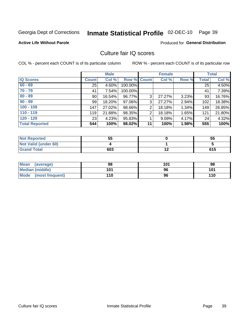# Inmate Statistical Profile 02-DEC-10 Page 39

**Active Life Without Parole** 

**Produced for General Distribution** 

## Culture fair IQ scores

COL % - percent each COUNT is of its particular column

|                       |              | <b>Male</b> |                    |    | <b>Female</b> |       |              | <b>Total</b> |
|-----------------------|--------------|-------------|--------------------|----|---------------|-------|--------------|--------------|
| <b>IQ Scores</b>      | <b>Count</b> | Col %       | <b>Row % Count</b> |    | Col %         | Row % | <b>Total</b> | Col %        |
| $60 - 69$             | 25           | 4.60%       | 100.00%            |    |               |       | 25           | 4.50%        |
| $70 - 79$             | 41           | 7.54%       | 100.00%            |    |               |       | 41           | 7.39%        |
| $80 - 89$             | 90           | 16.54%      | 96.77%             | 3  | 27.27%        | 3.23% | 93           | 16.76%       |
| $90 - 99$             | 99           | 18.20%      | 97.06%             | 3  | 27.27%        | 2.94% | 102          | 18.38%       |
| $100 - 109$           | 147          | 27.02%      | 98.66%             | 2  | 18.18%        | 1.34% | 149          | 26.85%       |
| $110 - 119$           | 119          | 21.88%      | 98.35%             | 2  | 18.18%        | 1.65% | 121          | 21.80%       |
| $120 - 129$           | 23           | 4.23%       | 95.83%             |    | 9.09%         | 4.17% | 24           | 4.32%        |
| <b>Total Reported</b> | 544          | 100%        | 98.02%             | 11 | 100%          | 1.98% | 555          | 100%         |

| <b>Not Reported</b>         | 55  |     | 55  |
|-----------------------------|-----|-----|-----|
| <b>Not Valid (under 60)</b> |     |     |     |
| <b>Grand Total</b>          | 603 | . . | 615 |

| <b>Mean</b><br>(average)       | 98  | 101 | 98  |
|--------------------------------|-----|-----|-----|
| <b>Median (middle)</b>         | 101 | 96  | 101 |
| <b>Mode</b><br>(most frequent) | 110 | 96  | 110 |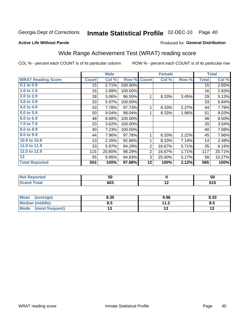#### Inmate Statistical Profile 02-DEC-10 Page 40

**Active Life Without Parole** 

## Produced for General Distribution

# Wide Range Achievement Test (WRAT) reading score

COL % - percent each COUNT is of its particular column

|                           |              | <b>Male</b> |         |                | <b>Female</b> |       |              | <b>Total</b> |
|---------------------------|--------------|-------------|---------|----------------|---------------|-------|--------------|--------------|
| <b>WRAT Reading Score</b> | <b>Count</b> | Col %       | Row %   | <b>Count</b>   | Col %         | Row % | <b>Total</b> | Col %        |
| 0.1 to 0.9                | 15           | 2.71%       | 100.00% |                |               |       | 15           | 2.65%        |
| 1.0 to 1.9                | 16           | 2.89%       | 100.00% |                |               |       | 16           | 2.83%        |
| 2.0 to 2.9                | 28           | 5.06%       | 96.55%  | 1              | 8.33%         | 3.45% | 29           | 5.13%        |
| 3.0 to 3.9                | 33           | 5.97%       | 100.00% |                |               |       | 33           | 5.84%        |
| 4.0 to 4.9                | 43           | 7.78%       | 97.73%  | 1              | 8.33%         | 2.27% | 44           | 7.79%        |
| 5.0 to 5.9                | 50           | 9.04%       | 98.04%  | 1              | 8.33%         | 1.96% | 51           | 9.03%        |
| 6.0 to 6.9                | 48           | 8.68%       | 100.00% |                |               |       | 48           | 8.50%        |
| 7.0 to 7.9                | 20           | 3.62%       | 100.00% |                |               |       | 20           | 3.54%        |
| 8.0 to 8.9                | 40           | 7.23%       | 100.00% |                |               |       | 40           | 7.08%        |
| 9.0 to 9.9                | 44           | 7.96%       | 97.78%  | 1              | 8.33%         | 2.22% | 45           | 7.96%        |
| 10.0 to 10.9              | 13           | 2.35%       | 92.86%  | 1              | 8.33%         | 7.14% | 14           | 2.48%        |
| 11.0 to 11.9              | 33           | 5.97%       | 94.29%  | $\overline{2}$ | 16.67%        | 5.71% | 35           | 6.19%        |
| 12.0 to 12.9              | 115          | 20.80%      | 98.29%  | $\overline{2}$ | 16.67%        | 1.71% | 117          | 20.71%       |
| 13                        | 55           | 9.95%       | 94.83%  | 3              | 25.00%        | 5.17% | 58           | 10.27%       |
| <b>Total Reported</b>     | 553          | 100%        | 97.88%  | $12 \,$        | 100%          | 2.12% | 565          | 100%         |
|                           |              |             |         |                |               |       |              |              |
|                           |              |             |         |                |               |       |              |              |

| onreg                    | ວບ  |                          | ้วน           |
|--------------------------|-----|--------------------------|---------------|
| $n+1$<br>______<br>_____ | 603 | $\overline{\phantom{a}}$ | C4 E<br>ט ו ט |

| <b>Mean</b><br>(average) | 8.30 | 9.96                            | 8.33 |
|--------------------------|------|---------------------------------|------|
| <b>Median (middle)</b>   | 8.5  | 11 <sub>2</sub><br>. . <u>.</u> | 6.J  |
| Mode<br>(most frequent)  |      |                                 | יי   |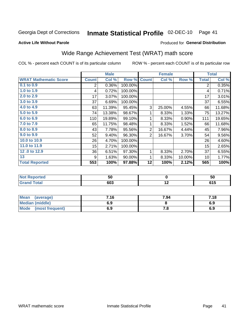#### Inmate Statistical Profile 02-DEC-10 Page 41

#### **Active Life Without Parole**

### Produced for General Distribution

# Wide Range Achievement Test (WRAT) math score

COL % - percent each COUNT is of its particular column

|                              |                | <b>Male</b> |         |                | <b>Female</b> |        |              | <b>Total</b> |
|------------------------------|----------------|-------------|---------|----------------|---------------|--------|--------------|--------------|
| <b>WRAT Mathematic Score</b> | <b>Count</b>   | Col %       | Row %   | <b>Count</b>   | Col %         | Row %  | <b>Total</b> | Col %        |
| 0.1 to 0.9                   | $\overline{2}$ | 0.36%       | 100.00% |                |               |        | 2            | 0.35%        |
| 1.0 to 1.9                   | 4              | 0.72%       | 100.00% |                |               |        | 4            | 0.71%        |
| 2.0 to 2.9                   | 17             | 3.07%       | 100.00% |                |               |        | 17           | 3.01%        |
| 3.0 to 3.9                   | 37             | 6.69%       | 100.00% |                |               |        | 37           | 6.55%        |
| 4.0 to 4.9                   | 63             | 11.39%      | 95.45%  | 3              | 25.00%        | 4.55%  | 66           | 11.68%       |
| 5.0 to 5.9                   | 74             | 13.38%      | 98.67%  | 1              | 8.33%         | 1.33%  | 75           | 13.27%       |
| 6.0 to 6.9                   | 110            | 19.89%      | 99.10%  | 1              | 8.33%         | 0.90%  | 111          | 19.65%       |
| 7.0 to 7.9                   | 65             | 11.75%      | 98.48%  | 1              | 8.33%         | 1.52%  | 66           | 11.68%       |
| 8.0 to 8.9                   | 43             | 7.78%       | 95.56%  | $\overline{2}$ | 16.67%        | 4.44%  | 45           | 7.96%        |
| 9.0 to 9.9                   | 52             | 9.40%       | 96.30%  | $\overline{2}$ | 16.67%        | 3.70%  | 54           | 9.56%        |
| 10.0 to 10.9                 | 26             | 4.70%       | 100.00% |                |               |        | 26           | 4.60%        |
| 11.0 to 11.9                 | 15             | 2.71%       | 100.00% |                |               |        | 15           | 2.65%        |
| 12.0 to 12.9                 | 36             | 6.51%       | 97.30%  | 1              | 8.33%         | 2.70%  | 37           | 6.55%        |
| 13                           | 9              | 1.63%       | 90.00%  | 1              | 8.33%         | 10.00% | 10           | 1.77%        |
| <b>Total Reported</b>        | 553            | 100%        | 97.88%  | 12             | 100%          | 2.12%  | 565          | 100%         |
|                              |                |             |         |                |               |        |              |              |
| Not Reported                 |                | 50          |         |                | $\Omega$      |        |              | 50           |

| REDULIEU. | ວບ  |     | ວບ       |
|-----------|-----|-----|----------|
|           | 603 | . . | .<br>. . |
|           |     |     |          |

| Mean<br>(average)       | 7.16 | 7.94  | 7.18 |
|-------------------------|------|-------|------|
| <b>Median (middle)</b>  | 6.9  |       | ხ.ყ  |
| Mode<br>(most frequent) | 6.9  | . . o | 6.9  |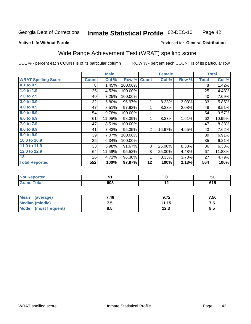#### Inmate Statistical Profile 02-DEC-10 Page 42

#### **Active Life Without Parole**

## Produced for General Distribution

## Wide Range Achievement Test (WRAT) spelling score

COL % - percent each COUNT is of its particular column

ROW % - percent each COUNT is of its particular row

 $\overline{12.3}$ 

|                            |              | <b>Male</b>     |         |                 | <b>Female</b>             |       |              | <b>Total</b> |
|----------------------------|--------------|-----------------|---------|-----------------|---------------------------|-------|--------------|--------------|
| <b>WRAT Spelling Score</b> | <b>Count</b> | Col %           | Row %   | <b>Count</b>    | $\overline{\text{Col}}$ % | Row % | <b>Total</b> | Col %        |
| $0.1$ to $0.9$             | 8            | 1.45%           | 100.00% |                 |                           |       | 8            | 1.42%        |
| 1.0 to 1.9                 | 25           | 4.53%           | 100.00% |                 |                           |       | 25           | 4.43%        |
| 2.0 to 2.9                 | 40           | 7.25%           | 100.00% |                 |                           |       | 40           | 7.09%        |
| 3.0 to 3.9                 | 32           | 5.80%           | 96.97%  | 1               | 8.33%                     | 3.03% | 33           | 5.85%        |
| 4.0 to 4.9                 | 47           | 8.51%           | 97.92%  | 1               | 8.33%                     | 2.08% | 48           | 8.51%        |
| 5.0 to 5.9                 | 54           | 9.78%           | 100.00% |                 |                           |       | 54           | 9.57%        |
| 6.0 to 6.9                 | 61           | 11.05%          | 98.39%  | 1               | 8.33%                     | 1.61% | 62           | 10.99%       |
| 7.0 to 7.9                 | 47           | 8.51%           | 100.00% |                 |                           |       | 47           | 8.33%        |
| 8.0 to 8.9                 | 41           | 7.43%           | 95.35%  | $\overline{2}$  | 16.67%                    | 4.65% | 43           | 7.62%        |
| 9.0 to 9.9                 | 39           | 7.07%           | 100.00% |                 |                           |       | 39           | 6.91%        |
| 10.0 to 10.9               | 35           | 6.34%           | 100.00% |                 |                           |       | 35           | 6.21%        |
| 11.0 to 11.9               | 33           | 5.98%           | 91.67%  | 3               | 25.00%                    | 8.33% | 36           | 6.38%        |
| 12.0 to 12.9               | 64           | 11.59%          | 95.52%  | 3               | 25.00%                    | 4.48% | 67           | 11.88%       |
| 13                         | 26           | 4.71%           | 96.30%  | 1               | 8.33%                     | 3.70% | 27           | 4.79%        |
| <b>Total Reported</b>      | 552          | 100%            | 97.87%  | $\overline{12}$ | 100%                      | 2.13% | 564          | 100%         |
|                            |              |                 |         |                 |                           |       |              |              |
| <b>Not Reported</b>        |              | $\overline{51}$ |         |                 | $\mathbf 0$               |       | 51           |              |
| <b>Grand Total</b>         |              | 603             |         |                 | 12                        |       |              | 615          |
|                            |              |                 |         |                 |                           |       |              |              |
| <b>Mean</b><br>(average)   |              | 7.46            |         |                 | 9.72                      |       | 7.50         |              |
| <b>Median (middle)</b>     |              | 7.5             |         |                 | 11.15                     |       |              | 7.5          |

 $\overline{8.5}$ 

**Mode** 

(most frequent)

 $\overline{8.5}$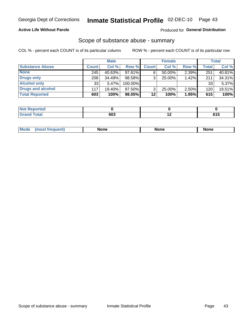## **Active Life Without Parole**

## **Produced for General Distribution**

## Scope of substance abuse - summary

COL % - percent each COUNT is of its particular column

|                        |              | <b>Male</b> |         |              | <b>Female</b> |          |              | <b>Total</b> |
|------------------------|--------------|-------------|---------|--------------|---------------|----------|--------------|--------------|
| <b>Substance Abuse</b> | <b>Count</b> | Col %       | Row %   | <b>Count</b> | Col %         | Row %    | <b>Total</b> | Col %        |
| <b>None</b>            | 245          | 40.63%      | 97.61%  |              | $50.00\%$     | $2.39\%$ | 251          | 40.81%       |
| <b>Drugs only</b>      | 208          | $34.49\%$   | 98.58%  |              | 25.00%        | 1.42%    | 211          | 34.31%       |
| <b>Alcohol only</b>    | 33           | 5.47%       | 100.00% |              |               |          | 33           | 5.37%        |
| Drugs and alcohol      | 117          | 19.40%      | 97.50%  |              | $25.00\%$     | 2.50%    | 120          | 19.51%       |
| <b>Total Reported</b>  | 603          | 100%        | 98.05%  | 12           | 100%          | 1.95%    | 615          | 100%         |

| <b>Not</b><br>Reported       |     |             |
|------------------------------|-----|-------------|
| <b>Total</b><br><b>Grand</b> | 603 | C4 E<br>,,, |

| <b>Mod</b><br>'one<br>None<br><b>None</b> |
|-------------------------------------------|
|-------------------------------------------|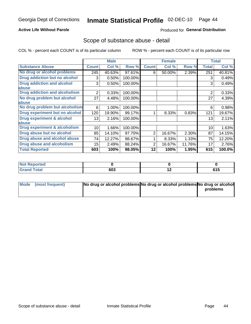## **Active Life Without Parole**

## Produced for General Distribution

## Scope of substance abuse - detail

COL % - percent each COUNT is of its particular column

|                                      |                | <b>Male</b> |         |              | <b>Female</b> |        |                | <b>Total</b> |
|--------------------------------------|----------------|-------------|---------|--------------|---------------|--------|----------------|--------------|
| <b>Substance Abuse</b>               | <b>Count</b>   | Col %       | Row %   | <b>Count</b> | Col %         | Row %  | <b>Total</b>   | Col %        |
| No drug or alcohol problems          | 245            | 40.63%      | 97.61%  | 6            | 50.00%        | 2.39%  | 251            | 40.81%       |
| Drug addiction but no alcohol        | 3              | 0.50%       | 100.00% |              |               |        | 3              | 0.49%        |
| <b>Drug addiction and alcohol</b>    | 3              | 0.50%       | 100.00% |              |               |        | 3              | 0.49%        |
| abuse                                |                |             |         |              |               |        |                |              |
| <b>Drug addiction and alcoholism</b> | $\overline{2}$ | 0.33%       | 100.00% |              |               |        | $\overline{2}$ | 0.33%        |
| No drug problem but alcohol          | 27             | 4.48%       | 100.00% |              |               |        | 27             | 4.39%        |
| abuse                                |                |             |         |              |               |        |                |              |
| No drug problem but alcoholism       | 6              | 1.00%       | 100.00% |              |               |        | 6              | 0.98%        |
| Drug experiment but no alcohol       | 120            | 19.90%      | 99.17%  |              | 8.33%         | 0.83%  | 121            | 19.67%       |
| <b>Drug experiment &amp; alcohol</b> | 13             | 2.16%       | 100.00% |              |               |        | 13             | 2.11%        |
| abuse                                |                |             |         |              |               |        |                |              |
| Drug experiment & alcoholism         | 10             | 1.66%       | 100.00% |              |               |        | 10             | 1.63%        |
| Drug abuse but no alcohol            | 85             | 14.10%      | 97.70%  | 2            | 16.67%        | 2.30%  | 87             | 14.15%       |
| Drug abuse and alcohol abuse         | 74             | 12.27%      | 98.67%  |              | 8.33%         | 1.33%  | 75             | 12.20%       |
| <b>Drug abuse and alcoholism</b>     | 15             | 2.49%       | 88.24%  | 2            | 16.67%        | 11.76% | 17             | 2.76%        |
| <b>Total Reported</b>                | 603            | 100%        | 98.05%  | 12           | 100%          | 1.95%  | 615            | 100.0%       |

| <b>Not Reported</b> |     |     |                       |
|---------------------|-----|-----|-----------------------|
| <b>cotal</b>        | 603 | . . | C <sub>4</sub> E<br>. |

| Mode (most frequent) | No drug or alcohol problems No drug or alcohol problems No drug or alcohol |          |
|----------------------|----------------------------------------------------------------------------|----------|
|                      |                                                                            | problems |
|                      |                                                                            |          |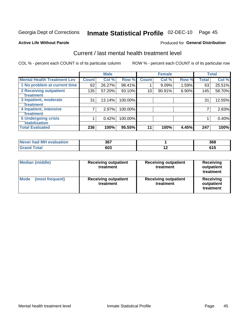#### Inmate Statistical Profile 02-DEC-10 Page 45

#### **Active Life Without Parole**

### Produced for General Distribution

# Current / last mental health treatment level

COL % - percent each COUNT is of its particular column

|                                                |                 | <b>Male</b> |         |              | <b>Female</b> |          |              | <b>Total</b> |
|------------------------------------------------|-----------------|-------------|---------|--------------|---------------|----------|--------------|--------------|
| <b>Mental Health Treatment Lev</b>             | <b>Count</b>    | Col %       | Row %   | <b>Count</b> | Col %         | Row %    | <b>Total</b> | Col %        |
| 1 No problem at current time                   | 62              | 26.27%      | 98.41%  |              | 9.09%         | 1.59%    | 63           | 25.51%       |
| 2 Receiving outpatient<br><b>Treatment</b>     | 135             | 57.20%      | 93.10%  | 10           | 90.91%        | $6.90\%$ | 145          | 58.70%       |
| 3 Inpatient, moderate                          | 31 <sup>1</sup> | 13.14%      | 100.00% |              |               |          | 31           | 12.55%       |
| Treatment<br>4 Inpatient, intensive            | 7               | 2.97%       | 100.00% |              |               |          |              | 2.83%        |
| <b>Treatment</b><br><b>5 Undergoing crisis</b> |                 | 0.42%       | 100.00% |              |               |          |              | 0.40%        |
| <b>stabilization</b><br><b>Total Evaluated</b> | 236             | 100%        | 95.55%  | 11           | 100%          | 4.45%    | 247          | 100%         |
|                                                |                 |             |         |              |               |          |              |              |

| evaluation<br>'м<br>Never I<br>nan | 367 |     | 368 |
|------------------------------------|-----|-----|-----|
|                                    | 603 | . . |     |

| Median (middle)         | <b>Receiving outpatient</b><br>treatment | <b>Receiving outpatient</b><br>treatment | <b>Receiving</b><br>outpatient<br>treatment |  |
|-------------------------|------------------------------------------|------------------------------------------|---------------------------------------------|--|
| Mode<br>(most frequent) | <b>Receiving outpatient</b><br>treatment | <b>Receiving outpatient</b><br>treatment | <b>Receiving</b><br>outpatient<br>treatment |  |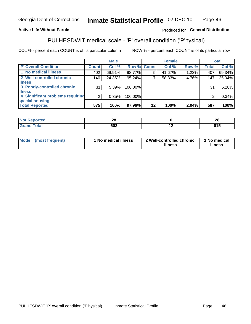#### Inmate Statistical Profile 02-DEC-10 Page 46

## **Active Life Without Parole**

## Produced for General Distribution

# PULHESDWIT medical scale - 'P' overall condition ('P'hysical)

COL % - percent each COUNT is of its particular column

|                                  |         | <b>Male</b> |                    |         | <b>Female</b> |       |              | <b>Total</b> |
|----------------------------------|---------|-------------|--------------------|---------|---------------|-------|--------------|--------------|
| 'P' Overall Condition            | Count l | Col %       | <b>Row % Count</b> |         | Col %         | Row % | <b>Total</b> | Col %        |
| 1 No medical illness             | 402     | 69.91%      | 98.77%             | 5       | 41.67%        | 1.23% | 407          | 69.34%       |
| 2 Well-controlled chronic        | 140     | 24.35%      | 95.24%             |         | 58.33%        | 4.76% | 147          | 25.04%       |
| <b>illness</b>                   |         |             |                    |         |               |       |              |              |
| 3 Poorly-controlled chronic      | 31      | 5.39%       | 100.00%            |         |               |       | 31           | 5.28%        |
| <b>illness</b>                   |         |             |                    |         |               |       |              |              |
| 4 Significant problems requiring | ົ       | 0.35%       | 100.00%            |         |               |       | 2            | 0.34%        |
| special housing                  |         |             |                    |         |               |       |              |              |
| <b>Total Reported</b>            | 575     | 100%        | 97.96%             | $12 \,$ | 100%          | 2.04% | 587          | 100%         |

|       | റ<br>∠∪<br>__ |                          | $\sim$<br>- 96<br>40 |
|-------|---------------|--------------------------|----------------------|
| _____ | 603           | $\overline{\phantom{0}}$ | .<br>U I J           |

| Mode | (most frequent) | No medical illness | 2 Well-controlled chronic<br>illness | 1 No medical<br>illness |
|------|-----------------|--------------------|--------------------------------------|-------------------------|
|------|-----------------|--------------------|--------------------------------------|-------------------------|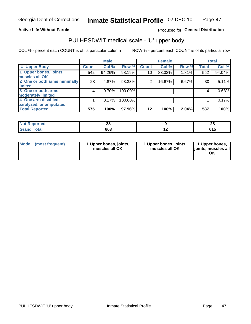## **Active Life Without Parole**

## Produced for General Distribution

# PULHESDWIT medical scale - 'U' upper body

COL % - percent each COUNT is of its particular column

|                              |              | <b>Male</b> |         |              | <b>Female</b> |       |              | <b>Total</b> |
|------------------------------|--------------|-------------|---------|--------------|---------------|-------|--------------|--------------|
| <b>'U' Upper Body</b>        | <b>Count</b> | Col %       | Row %   | <b>Count</b> | Col %         | Row % | <b>Total</b> | Col %        |
| 1 Upper bones, joints,       | 542          | 94.26%      | 98.19%  | 10           | 83.33%        | 1.81% | 552          | 94.04%       |
| muscles all OK               |              |             |         |              |               |       |              |              |
| 2 One or both arms minimally | 28           | 4.87%       | 93.33%  | 2            | 16.67%        | 6.67% | 30           | 5.11%        |
| limited                      |              |             |         |              |               |       |              |              |
| 3 One or both arms           | 4            | 0.70%       | 100.00% |              |               |       | 4            | 0.68%        |
| <b>moderately limited</b>    |              |             |         |              |               |       |              |              |
| 4 One arm disabled,          |              | 0.17%       | 100.00% |              |               |       |              | 0.17%        |
| paralyzed, or amputated      |              |             |         |              |               |       |              |              |
| <b>Total Reported</b>        | 575          | 100%        | 97.96%  | $12 \,$      | 100%          | 2.04% | 587          | 100%         |

| <b>Not Reported</b>      | ጣ   | n.<br>ZU |
|--------------------------|-----|----------|
| <b>Total</b><br>ا الله ا | 603 | u i j    |

| Mode | (most frequent) | 1 Upper bones, joints,<br>muscles all OK | 1 Upper bones, joints,<br>muscles all OK | 1 Upper bones,<br>ljoints, muscles all<br>ΟK |
|------|-----------------|------------------------------------------|------------------------------------------|----------------------------------------------|
|------|-----------------|------------------------------------------|------------------------------------------|----------------------------------------------|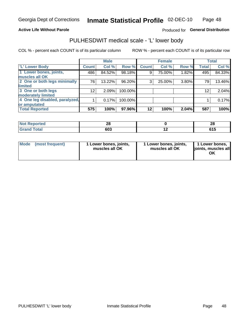## **Active Life Without Parole**

## Produced for General Distribution

## PULHESDWIT medical scale - 'L' lower body

COL % - percent each COUNT is of its particular column

|                                |                 | <b>Male</b> |         |              | <b>Female</b> |       |              | <b>Total</b> |
|--------------------------------|-----------------|-------------|---------|--------------|---------------|-------|--------------|--------------|
| 'L' Lower Body                 | <b>Count</b>    | Col %       | Row %   | <b>Count</b> | Col %         | Row % | <b>Total</b> | Col %        |
| 1 Lower bones, joints,         | 486             | 84.52%      | 98.18%  | 9            | 75.00%        | 1.82% | 495          | 84.33%       |
| muscles all OK                 |                 |             |         |              |               |       |              |              |
| 2 One or both legs minimally   | 76              | 13.22%      | 96.20%  | 3            | 25.00%        | 3.80% | 79           | 13.46%       |
| limited                        |                 |             |         |              |               |       |              |              |
| 3 One or both legs             | 12 <sub>1</sub> | 2.09%       | 100.00% |              |               |       | 12           | 2.04%        |
| moderately limited             |                 |             |         |              |               |       |              |              |
| 4 One leg disabled, paralyzed, |                 | 0.17%       | 100.00% |              |               |       |              | 0.17%        |
| or amputated                   |                 |             |         |              |               |       |              |              |
| <b>Total Reported</b>          | 575             | 100%        | 97.96%  | $12 \,$      | 100%          | 2.04% | 587          | 100%         |

| <b>Not Reported</b><br>. <b>.</b> | ົ   | n.<br>Z C |
|-----------------------------------|-----|-----------|
| <b>Total</b>                      | 603 | u I J     |

| Mode | (most frequent) | 1 Lower bones, joints,<br>muscles all OK | 1 Lower bones, joints,<br>muscles all OK | 1 Lower bones,<br>ljoints, muscles all<br>OK |
|------|-----------------|------------------------------------------|------------------------------------------|----------------------------------------------|
|------|-----------------|------------------------------------------|------------------------------------------|----------------------------------------------|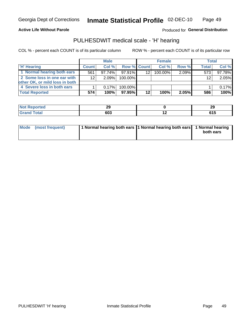**Active Life Without Parole** 

Produced for General Distribution

## PULHESDWIT medical scale - 'H' hearing

COL % - percent each COUNT is of its particular column

|                                |              | <b>Male</b> |                    |         | <b>Female</b> |          | <b>Total</b> |        |
|--------------------------------|--------------|-------------|--------------------|---------|---------------|----------|--------------|--------|
| <b>H' Hearing</b>              | <b>Count</b> | Col %       | <b>Row % Count</b> |         | Col %         | Row %    | Total        | Col %  |
| 1 Normal hearing both ears     | 561          | $97.74\%$   | 97.91%             | 12      | 100.00%       | 2.09%    | 573          | 97.78% |
| 2 Some loss in one ear with    | 12           | 2.09%       | 100.00%            |         |               |          | 12           | 2.05%  |
| other OK, or mild loss in both |              |             |                    |         |               |          |              |        |
| 4 Severe loss in both ears     |              | 0.17%       | 100.00%            |         |               |          |              | 0.17%  |
| <b>Total Reported</b>          | 574          | $100\%$     | $97.95\%$          | $12 \,$ | 100%          | $2.05\%$ | 586          | 100%   |

| æ | n n<br>23  | oc<br>ZУ   |
|---|------------|------------|
|   | cna<br>ისა | .<br>U I J |

| Mode (most frequent) | 1 Normal hearing both ears 11 Normal hearing both ears 1 Normal hearing |           |
|----------------------|-------------------------------------------------------------------------|-----------|
|                      |                                                                         | both ears |
|                      |                                                                         |           |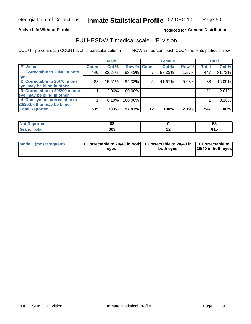**Active Life Without Parole** 

Produced for General Distribution

## PULHESDWIT medical scale - 'E' vision

COL % - percent each COUNT is of its particular column

|                                |              | <b>Male</b> |             |    | <b>Female</b> |       |              | <b>Total</b> |
|--------------------------------|--------------|-------------|-------------|----|---------------|-------|--------------|--------------|
| <b>E' Vision</b>               | <b>Count</b> | Col %       | Row % Count |    | Col %         | Row % | <b>Total</b> | Col %        |
| 1 Correctable to 20/40 in both | 440          | 82.24%      | 98.43%      |    | 58.33%        | 1.57% | 447          | 81.72%       |
| eyes                           |              |             |             |    |               |       |              |              |
| 2 Correctable to 20/70 in one  | 83           | 15.51%      | 94.32%      | 5  | 41.67%        | 5.68% | 88           | 16.09%       |
| eye, may be blind in other     |              |             |             |    |               |       |              |              |
| 3 Correctable to 20/200 in one | 11           | $2.06\%$    | 100.00%     |    |               |       | 11           | 2.01%        |
| eye, may be blind in other     |              |             |             |    |               |       |              |              |
| 4 One eye not correctable to   |              | 0.19%       | 100.00%     |    |               |       |              | 0.18%        |
| 20/200, other may be blind     |              |             |             |    |               |       |              |              |
| <b>Total Reported</b>          | 535          | 100%        | 97.81%      | 12 | 100%          | 2.19% | 547          | 100%         |

| <b>Not Reported</b><br>$\cdots$ | 68  |     | 68    |
|---------------------------------|-----|-----|-------|
| <b>Total</b>                    | 603 | . . | . . J |

| Mode (most frequent) | <sup>1</sup> Correctable to 20/40 in both 1 Correctable to 20/40 in 1 Correctable to<br>eves | both eyes | 20/40 in both eyes |
|----------------------|----------------------------------------------------------------------------------------------|-----------|--------------------|
|                      |                                                                                              |           |                    |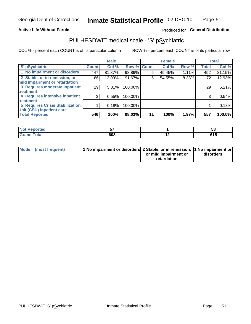## **Active Life Without Parole**

## Produced for General Distribution

# PULHESDWIT medical scale - 'S' pSychiatric

COL % - percent each COUNT is of its particular column

|                                                                 |              | <b>Male</b> |                    |    | <b>Female</b> |       |              | <b>Total</b> |
|-----------------------------------------------------------------|--------------|-------------|--------------------|----|---------------|-------|--------------|--------------|
| 'S' pSychiatric                                                 | <b>Count</b> | Col %       | <b>Row % Count</b> |    | Col %         | Row % | <b>Total</b> | Col %        |
| 1 No impairment or disorders                                    | 447          | 81.87%      | 98.89%             | 5  | 45.45%        | 1.11% | 452          | 81.15%       |
| 2 Stable, or in remission, or<br>mild impairment or retardation | 66           | 12.09%      | 91.67%             | 6  | 54.55%        | 8.33% | 72           | 12.93%       |
| 3 Requires moderate inpatient                                   | 29           | 5.31%       | 100.00%            |    |               |       | 29           | 5.21%        |
| treatment                                                       |              |             |                    |    |               |       |              |              |
| 4 Requires intensive inpatient                                  | 3            | 0.55%       | 100.00%            |    |               |       | 3            | 0.54%        |
| treatment                                                       |              |             |                    |    |               |       |              |              |
| <b>5 Requires Crisis Stabilization</b>                          |              | 0.18%       | 100.00%            |    |               |       |              | 0.18%        |
| Unit (CSU) inpatient care                                       |              |             |                    |    |               |       |              |              |
| <b>Total Reported</b>                                           | 546          | 100%        | 98.03%             | 11 | 100%          | 1.97% | 557          | 100.0%       |

| <b>Not Reported</b>   | --<br>. ب |  | 58          |
|-----------------------|-----------|--|-------------|
| <b>Total</b><br>Grand | 603       |  | CA F<br>טוט |

| Mode (most frequent) | <b>1 No impairment or disorders</b> 2 Stable, or in remission, 11 No impairment or |                       |           |
|----------------------|------------------------------------------------------------------------------------|-----------------------|-----------|
|                      |                                                                                    | or mild impairment or | disorders |
|                      |                                                                                    | retardation           |           |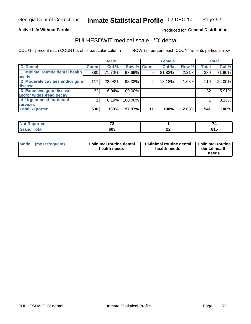## **Active Life Without Parole**

## Produced for General Distribution

## PULHESDWIT medical scale - 'D' dental

COL % - percent each COUNT is of its particular column

|                                 |              | <b>Male</b> |         |             | <b>Female</b> |       |              | <b>Total</b> |
|---------------------------------|--------------|-------------|---------|-------------|---------------|-------|--------------|--------------|
| <b>D'</b> Dental                | <b>Count</b> | Col %       |         | Row % Count | Col %         | Row % | <b>Total</b> | Col %        |
| 1 Minimal routine dental health | 380          | 71.70%      | 97.69%  | 9           | 81.82%        | 2.31% | 389          | 71.90%       |
| <b>needs</b>                    |              |             |         |             |               |       |              |              |
| 2 Moderate cavities and/or gum  | 117          | 22.08%      | 98.32%  | 2           | 18.18%        | 1.68% | 119          | 22.00%       |
| disease                         |              |             |         |             |               |       |              |              |
| 3 Extensive gum disease         | 32           | 6.04%       | 100.00% |             |               |       | 32           | 5.91%        |
| and/or widespread decay         |              |             |         |             |               |       |              |              |
| 4 Urgent need for dental        |              | 0.19%       | 100.00% |             |               |       |              | 0.18%        |
| <b>services</b>                 |              |             |         |             |               |       |              |              |
| <b>Total Reported</b>           | 530          | 100%        | 97.97%  | 11          | 100%          | 2.03% | 541          | 100%         |

| الداريم الألمان<br>rtea<br>N<br>. | $\rightarrow$ |                          |       |
|-----------------------------------|---------------|--------------------------|-------|
| $F = 4 - F$                       | cna           | $\overline{\phantom{0}}$ | .     |
| <u>i vtal</u>                     | ົດບພ          |                          | . . J |

| <b>Mode</b> | (most frequent) | <b>Minimal routine dental</b><br>health needs | 1 Minimal routine dental<br>health needs | <b>11 Minimal routine I</b><br>dental health<br>needs |
|-------------|-----------------|-----------------------------------------------|------------------------------------------|-------------------------------------------------------|
|-------------|-----------------|-----------------------------------------------|------------------------------------------|-------------------------------------------------------|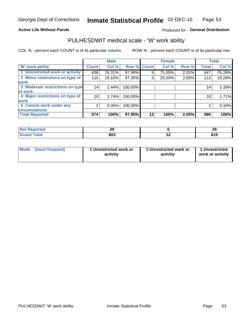## **Active Life Without Parole**

## Produced for General Distribution

## PULHESDWIT medical scale - 'W' work ability

COL % - percent each COUNT is of its particular column

|                                 |              | <b>Male</b> |         |             | <b>Female</b> |       |              | <b>Total</b> |
|---------------------------------|--------------|-------------|---------|-------------|---------------|-------|--------------|--------------|
| <b>W' work ability</b>          | <b>Count</b> | Col %       |         | Row % Count | Col %         | Row % | <b>Total</b> | Col %        |
| 1 Unrestricted work or activity | 438          | 76.31%      | 97.99%  | 9           | 75.00%        | 2.01% | 447          | 76.28%       |
| 2 Minor restrictions on type of | 110          | 19.16%      | 97.35%  | 3           | 25.00%        | 2.65% | 113          | 19.28%       |
| <b>work</b>                     |              |             |         |             |               |       |              |              |
| 3 Moderate restrictions on type | 14           | 2.44%       | 100.00% |             |               |       | 14           | 2.39%        |
| lof work                        |              |             |         |             |               |       |              |              |
| 4 Major restrictions on type of | 10           | 1.74%       | 100.00% |             |               |       | 10           | 1.71%        |
| <b>work</b>                     |              |             |         |             |               |       |              |              |
| 5 Cannot work under any         |              | 0.35%       | 100.00% |             |               |       | 2            | 0.34%        |
| <b>circumstances</b>            |              |             |         |             |               |       |              |              |
| <b>Total Reported</b>           | 574          | 100%        | 97.95%  | 12          | 100%          | 2.05% | 586          | 100%         |

| <b>Not Reported</b><br>ົາເ<br>-- |     |     | nr<br>- 3 |
|----------------------------------|-----|-----|-----------|
| <b>Grand Total</b>               | 603 | . . | u I J     |

| Mode            | 1 Unrestricted work or | 1 Unrestricted work or | 1 Unrestricted   |
|-----------------|------------------------|------------------------|------------------|
| (most frequent) | activity               | activity               | work or activity |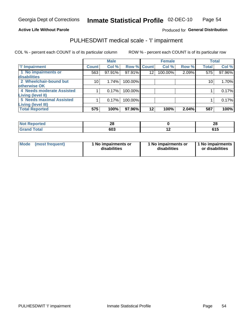## **Active Life Without Parole**

## Produced for General Distribution

# PULHESDWIT medical scale - 'I' impairment

COL % - percent each COUNT is of its particular column ROW % - percent each COUNT is of its particular row

|                           |                 | <b>Male</b> |             |         | <b>Female</b> |       |              | <b>Total</b> |
|---------------------------|-----------------|-------------|-------------|---------|---------------|-------|--------------|--------------|
| <b>T' Impairment</b>      | <b>Count</b>    | Col %       | Row % Count |         | Col %         | Row % | <b>Total</b> | Col %        |
| 1 No impairments or       | 563             | 97.91%      | 97.91%      | 12      | 100.00%       | 2.09% | 575          | 97.96%       |
| disabilities              |                 |             |             |         |               |       |              |              |
| 2 Wheelchair-bound but    | 10 <sup>1</sup> | 1.74%       | 100.00%     |         |               |       | 10           | 1.70%        |
| otherwise OK              |                 |             |             |         |               |       |              |              |
| 4 Needs moderate Assisted |                 | 0.17%       | 100.00%     |         |               |       |              | 0.17%        |
| Living (level II)         |                 |             |             |         |               |       |              |              |
| 5 Needs maximal Assisted  |                 | 0.17%       | 100.00%     |         |               |       |              | 0.17%        |
| Living (level III)        |                 |             |             |         |               |       |              |              |
| <b>Total Reported</b>     | 575             | 100%        | 97.96%      | $12 \,$ | 100%          | 2.04% | 587          | 100%         |

| oorted<br>N | ററ<br>ZO |     | 28                    |
|-------------|----------|-----|-----------------------|
| <b>otal</b> | 603      | . . | - - -<br>. .<br>0 I J |

| Mode | (most frequent) | 1 No impairments or<br>disabilities | 1 No impairments or<br>disabilities | 1 No impairments  <br>or disabilities |
|------|-----------------|-------------------------------------|-------------------------------------|---------------------------------------|
|------|-----------------|-------------------------------------|-------------------------------------|---------------------------------------|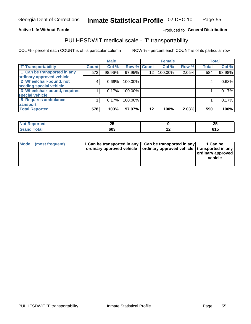## **Active Life Without Parole**

## Produced fo General Distribution

# PULHESDWIT medical scale - 'T' transportability

COL % - percent each COUNT is of its particular column

|                              |              | <b>Male</b> |             |         | <b>Female</b> |       |              | <b>Total</b> |
|------------------------------|--------------|-------------|-------------|---------|---------------|-------|--------------|--------------|
| <b>T' Transportability</b>   | <b>Count</b> | Col %       | Row % Count |         | Col %         | Row % | <b>Total</b> | Col %        |
| 1 Can be transported in any  | 572          | 98.96%      | 97.95%      | 12      | 100.00%       | 2.05% | 584          | 98.98%       |
| ordinary approved vehicle    |              |             |             |         |               |       |              |              |
| 2 Wheelchair-bound, not      | 4            | 0.69%       | 100.00%     |         |               |       |              | 0.68%        |
| needing special vehicle      |              |             |             |         |               |       |              |              |
| 3 Wheelchair-bound, requires |              | 0.17%       | 100.00%     |         |               |       |              | 0.17%        |
| special vehicle              |              |             |             |         |               |       |              |              |
| 5 Requires ambulance         |              | 0.17%       | 100.00%     |         |               |       |              | 0.17%        |
| transport                    |              |             |             |         |               |       |              |              |
| <b>Total Reported</b>        | 578          | 100%        | 97.97%      | $12 \,$ | 100%          | 2.03% | 590          | 100%         |

| m.<br>portea | ሳሪ<br>ΔJ |                          | --<br>∠J<br>$\overline{\phantom{0}}$ |
|--------------|----------|--------------------------|--------------------------------------|
| υιαι         | 603      | $\overline{\phantom{0}}$ | JIV                                  |

| <b>Mode</b> | (most frequent) | 11 Can be transported in any 1 Can be transported in any<br>ordinary approved vehicle   ordinary approved vehicle   transported in any |  | 1 Can be<br>ordinary approved<br>vehicle |
|-------------|-----------------|----------------------------------------------------------------------------------------------------------------------------------------|--|------------------------------------------|
|-------------|-----------------|----------------------------------------------------------------------------------------------------------------------------------------|--|------------------------------------------|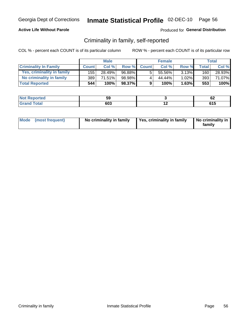## **Active Life Without Parole**

## Produced for General Distribution

## Criminality in family, self-reported

COL % - percent each COUNT is of its particular column

|                              |              | <b>Male</b> |        |              | <b>Female</b> |          |              | Total  |
|------------------------------|--------------|-------------|--------|--------------|---------------|----------|--------------|--------|
| <b>Criminality In Family</b> | <b>Count</b> | Col %       | Row %  | <b>Count</b> | Col%          | Row %    | <b>Total</b> | Col %  |
| Yes, criminality in family   | 155          | 28.49%      | 96.88% | 5            | $55.56\%$     | $3.13\%$ | 160          | 28.93% |
| No criminality in family     | 389          | 71.51%      | 98.98% | 4            | 44.44%        | 1.02%    | 393          | 71.07% |
| <b>Total Reported</b>        | 544          | 100%        | 98.37% | 9            | 100%          | 1.63%    | 553          | 100%   |

| keporteg<br>NO | --<br>◡ |     | . .<br>VŁ     |
|----------------|---------|-----|---------------|
| <b>otal</b>    | 603     | . . | C4 E<br>ט ו ט |

|  | Mode (most frequent) | No criminality in family | Yes, criminality in family | No criminality in<br>family |
|--|----------------------|--------------------------|----------------------------|-----------------------------|
|--|----------------------|--------------------------|----------------------------|-----------------------------|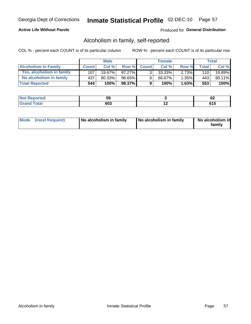## **Active Life Without Parole**

## **Produced for General Distribution**

## Alcoholism in family, self-reported

COL % - percent each COUNT is of its particular column

|                             |              | <b>Male</b> |        |              | <b>Female</b> |          |              | Total  |
|-----------------------------|--------------|-------------|--------|--------------|---------------|----------|--------------|--------|
| <b>Alcoholism In Family</b> | <b>Count</b> | Col%        | Row %  | <b>Count</b> | Col %         | Row %    | <b>Total</b> | Col %  |
| Yes, alcoholism in family   | 107          | $19.67\%$   | 97.27% | $\mathbf{r}$ | 33.33%        | $2.73\%$ | 110          | 19.89% |
| No alcoholism in family     | 437          | 80.33%      | 98.65% | 6            | 66.67%        | $1.35\%$ | 443          | 80.11% |
| <b>Total Reported</b>       | 544          | 100%        | 98.37% | 9            | 100%          | 1.63%    | 553          | 100%   |

| <b>rted</b>      | --  |          |
|------------------|-----|----------|
| <b>NOT</b>       | JJ  | VŁ       |
| $\sim$<br>$\sim$ | con | . .<br>. |

|  | Mode (most frequent) | No alcoholism in family | No alcoholism in family | No alcoholism in<br>family |
|--|----------------------|-------------------------|-------------------------|----------------------------|
|--|----------------------|-------------------------|-------------------------|----------------------------|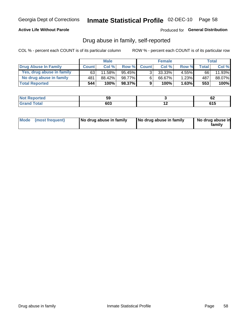## **Active Life Without Parole**

## Produced for General Distribution

## Drug abuse in family, self-reported

COL % - percent each COUNT is of its particular column

|                           |              | <b>Male</b> |           |                | <b>Female</b> |          |       | Total  |
|---------------------------|--------------|-------------|-----------|----------------|---------------|----------|-------|--------|
| Drug Abuse In Family      | <b>Count</b> | Col %       | Row %     | <b>Count</b>   | Col %         | Row %    | Total | Col %  |
| Yes, drug abuse in family | 63           | 11.58%      | $95.45\%$ | 3 <sub>1</sub> | $33.33\%$     | $4.55\%$ | 66    | 11.93% |
| No drug abuse in family   | 481          | 88.42%      | 98.77%    | 6              | 66.67%        | 1.23%    | 487   | 88.07% |
| <b>Total Reported</b>     | 544          | 100%        | 98.37%    | 9              | 100%          | 1.63%    | 553   | 100%   |

| <b>Not Reported</b> | JJ   |     | ~~<br>VZ |
|---------------------|------|-----|----------|
| 'otal               | GN 2 | . . | .        |
| Gran                | טכ-  |     | . . J    |

|  | Mode (most frequent) | No drug abuse in family | No drug abuse in family | No drug abuse in<br>family |
|--|----------------------|-------------------------|-------------------------|----------------------------|
|--|----------------------|-------------------------|-------------------------|----------------------------|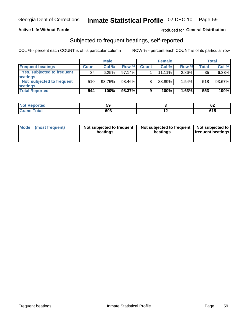## **Active Life Without Parole**

## **Produced for General Distribution**

## Subjected to frequent beatings, self-reported

COL % - percent each COUNT is of its particular column

|                                   |              | <b>Male</b> |        |              | <b>Female</b> |       |       | Total  |
|-----------------------------------|--------------|-------------|--------|--------------|---------------|-------|-------|--------|
| <b>Frequent beatings</b>          | <b>Count</b> | Col %       | Row %  | <b>Count</b> | Col %         | Row % | Total | Col %  |
| <b>Yes, subjected to frequent</b> | 34           | 6.25%       | 97.14% |              | 11.11%        | 2.86% | 35    | 6.33%  |
| <b>beatings</b>                   |              |             |        |              |               |       |       |        |
| Not subjected to frequent         | 510          | 93.75%      | 98.46% | 8            | 88.89%        | 1.54% | 518   | 93.67% |
| <b>beatings</b>                   |              |             |        |              |               |       |       |        |
| <b>Total Reported</b>             | 544          | 100%        | 98.37% | 9            | 100%          | 1.63% | 553   | 100%   |

| <b>Not Reported</b> | JJ  |     | c.<br><u>UZ</u>   |
|---------------------|-----|-----|-------------------|
| Total               | 603 | . . | <b>CAF</b><br>UIJ |

| Mode | (most frequent) | Not subjected to frequent<br>beatings | Not subjected to frequent<br>beatings | Not subjected to<br><b>frequent beatings</b> |
|------|-----------------|---------------------------------------|---------------------------------------|----------------------------------------------|
|      |                 |                                       |                                       |                                              |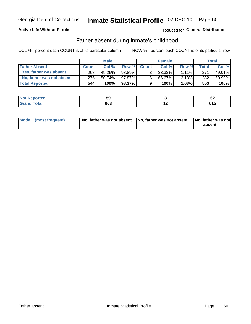## **Active Life Without Parole**

## Produced for General Distribution

## Father absent during inmate's childhood

COL % - percent each COUNT is of its particular column

|                           |              | <b>Male</b> |           |                | <b>Female</b> |          |       | Total   |
|---------------------------|--------------|-------------|-----------|----------------|---------------|----------|-------|---------|
| <b>Father Absent</b>      | <b>Count</b> | Col%        | Row %     | <b>Count</b>   | Col %         | Row %    | Total | Col %   |
| Yes, father was absent    | 268          | 49.26%      | 98.89%    | 3 <sub>1</sub> | $33.33\%$     | $1.11\%$ | 271   | 49.01%  |
| No, father was not absent | 276          | $50.74\%$   | 97.87%    | 6              | 66.67%        | $2.13\%$ | 282   | 50.99%  |
| <b>Total Reported</b>     | 544          | 100%        | $98.37\%$ | 9              | 100%          | 1.63%    | 553   | $100\%$ |

| <b>Not Reported</b>     | --<br>ັບ |     | ~<br><u>UŁ</u> |
|-------------------------|----------|-----|----------------|
| <b>c</b> otal<br>l Gran | 603      | . . | . . J          |

|  | Mode (most frequent) | No, father was not absent No, father was not absent |  | No, father was not<br>absent |
|--|----------------------|-----------------------------------------------------|--|------------------------------|
|--|----------------------|-----------------------------------------------------|--|------------------------------|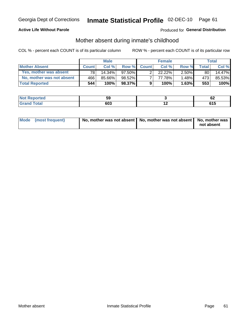## **Active Life Without Parole**

## Produced for General Distribution

## Mother absent during inmate's childhood

COL % - percent each COUNT is of its particular column

|                           |              | <b>Male</b> |           |              | <b>Female</b> |          |         | <b>Total</b> |
|---------------------------|--------------|-------------|-----------|--------------|---------------|----------|---------|--------------|
| <b>Mother Absent</b>      | <b>Count</b> | Col%        | Row %     | <b>Count</b> | Col %         | Row %    | Total ⊧ | Col %        |
| Yes, mother was absent    | 781          | $14.34\%$   | $97.50\%$ | ◠            | 22.22%        | $2.50\%$ | 80      | 14.47%       |
| No, mother was not absent | 466          | 85.66%      | 98.52%    |              | 77.78%        | $1.48\%$ | 473     | 85.53%       |
| <b>Total Reported</b>     | 544          | 100%        | $98.37\%$ | 9            | 100%          | 1.63%    | 553     | 100%         |

| <b>rted</b>      | --  |          |
|------------------|-----|----------|
| <b>NOT</b>       | JJ  | VŁ       |
| $\sim$<br>$\sim$ | con | . .<br>. |

| Mode (most frequent) | No, mother was not absent   No, mother was not absent   No, mother was | not absent |
|----------------------|------------------------------------------------------------------------|------------|
|                      |                                                                        |            |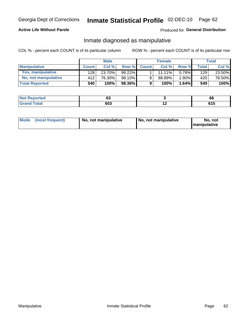## **Active Life Without Parole**

## Produced for General Distribution

## Inmate diagnosed as manipulative

COL % - percent each COUNT is of its particular column

|                          |              | <b>Male</b> |           |              | <b>Female</b> |          |              | Total  |
|--------------------------|--------------|-------------|-----------|--------------|---------------|----------|--------------|--------|
| <b>Manipulative</b>      | <b>Count</b> | Col %       | Row %     | <b>Count</b> | Col %         | Row %    | <b>Total</b> | Col %  |
| <b>Yes, manipulative</b> | 128 l        | 23.70%      | $99.22\%$ |              | 11.11%        | $0.78\%$ | 129          | 23.50% |
| No, not manipulative     | 412          | 76.30%      | 98.10%    | 8            | 88.89%        | 1.90%    | 420          | 76.50% |
| <b>Total Reported</b>    | 540          | 100%        | 98.36%    | 9            | 100%          | 1.64%    | 549          | 100%   |

| <b>Not Reported</b>     | $\overline{\phantom{a}}$<br>uu |     | oo    |
|-------------------------|--------------------------------|-----|-------|
| <b>c</b> otal<br>l Gran | 603                            | . . | u i j |

|  | Mode (most frequent) | No, not manipulative | No, not manipulative | No. not<br><b>I</b> manipulative |
|--|----------------------|----------------------|----------------------|----------------------------------|
|--|----------------------|----------------------|----------------------|----------------------------------|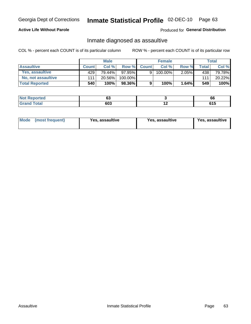# Inmate Statistical Profile 02-DEC-10 Page 63

## **Active Life Without Parole**

## Produced for General Distribution

## Inmate diagnosed as assaultive

COL % - percent each COUNT is of its particular column

|                       |              | <b>Male</b> |           |              | <b>Female</b> |          |       | Total  |
|-----------------------|--------------|-------------|-----------|--------------|---------------|----------|-------|--------|
| <b>Assaultive</b>     | <b>Count</b> | Col %       | Row %     | <b>Count</b> | Col %         | Row %    | Total | Col %  |
| Yes, assaultive       | 429          | 79.44%      | $97.95\%$ | 9            | 100.00%       | $2.05\%$ | 438   | 79.78% |
| No, not assaultive    | 111          | 20.56%      | 100.00%   |              |               |          | 111   | 20.22% |
| <b>Total Reported</b> | 540          | 100%        | 98.36%    | 9            | 100%          | 1.64%    | 549   | 100%   |

| <b>Reported</b><br><b>NO</b> t<br>. | ^^<br>vJ |     | 66         |
|-------------------------------------|----------|-----|------------|
| <b>otal</b>                         | 603      | . . | .<br>v 1 J |

| <b>Mode</b><br>(most frequent) | <b>Yes, assaultive</b> | Yes, assaultive | <b>Yes, assaultive</b> |
|--------------------------------|------------------------|-----------------|------------------------|
|--------------------------------|------------------------|-----------------|------------------------|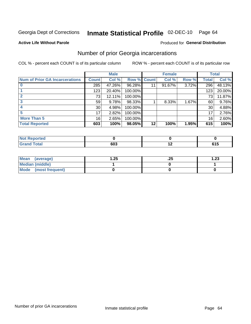# Inmate Statistical Profile 02-DEC-10 Page 64

#### **Active Life Without Parole**

## **Produced for General Distribution**

## Number of prior Georgia incarcerations

COL % - percent each COUNT is of its particular column

|                                       |                 | <b>Male</b> |                    |    | <b>Female</b> |       |       | <b>Total</b> |
|---------------------------------------|-----------------|-------------|--------------------|----|---------------|-------|-------|--------------|
| <b>Num of Prior GA Incarcerations</b> | <b>Count</b>    | Col %       | <b>Row % Count</b> |    | Col %         | Row % | Total | Col %        |
|                                       | 285             | 47.26%      | 96.28%             |    | 91.67%        | 3.72% | 296   | 48.13%       |
|                                       | 123             | 20.40%      | 100.00%            |    |               |       | 123   | 20.00%       |
|                                       | 73              | 12.11%      | 100.00%            |    |               |       | 73    | 11.87%       |
|                                       | 59              | 9.78%       | 98.33%             |    | 8.33%         | 1.67% | 60    | 9.76%        |
|                                       | 30 <sup>°</sup> | 4.98%       | 100.00%            |    |               |       | 30    | 4.88%        |
| 5                                     | 17              | 2.82%       | 100.00%            |    |               |       | 17    | 2.76%        |
| <b>More Than 5</b>                    | 16 <sub>1</sub> | 2.65%       | 100.00%            |    |               |       | 16    | 2.60%        |
| <b>Total Reported</b>                 | 603             | 100%        | 98.05%             | 12 | 100%          | 1.95% | 615   | 100%         |

| Reported<br>N.            |     |            |
|---------------------------|-----|------------|
| <b>Total</b><br>$\sim$ וש | 603 | .<br>ט ו ט |

| Mean (average)       | 1.25 | ن 2. | 1.23 |
|----------------------|------|------|------|
| Median (middle)      |      |      |      |
| Mode (most frequent) |      |      |      |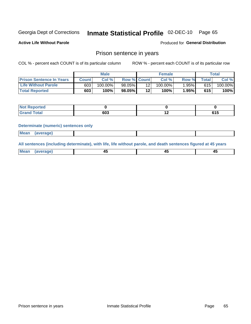#### Inmate Statistical Profile 02-DEC-10 Page 65

**Active Life Without Parole** 

Produced for General Distribution

## Prison sentence in years

COL % - percent each COUNT is of its particular column

ROW % - percent each COUNT is of its particular row

|                                 | <b>Male</b>  |         |             | <b>Female</b> |                    |          | Total       |         |
|---------------------------------|--------------|---------|-------------|---------------|--------------------|----------|-------------|---------|
| <b>Prison Sentence In Years</b> | <b>Count</b> | Col %   | Row % Count |               | Col % <sub>1</sub> | Row %    | $\tau$ otal | Col %   |
| <b>Life Without Parole</b>      | 603          | 100.00% | 98.05%      |               | $100.00\%$         | $1.95\%$ | 615         | 100.00% |
| <b>Total Reported</b>           | 603          | 100%    | 98.05%      | 12            | 100%               | 1.95%    | 615         | 100%    |

| <b>Reported</b>     |     |     |     |
|---------------------|-----|-----|-----|
| <b>Total</b><br>Gra | 603 | . . | . . |

#### **Determinate (numeric) sentences only**

| <b>Mean</b><br><i>(average)</i> |  |
|---------------------------------|--|
|---------------------------------|--|

All sentences (including determinate), with life, life without parole, and death sentences figured at 45 years

| l Mea<br>апе<br>. | -⊷ |  |
|-------------------|----|--|
|                   |    |  |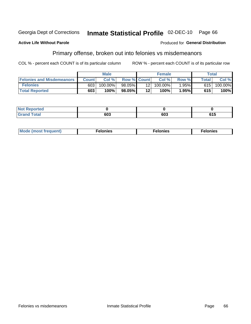#### Inmate Statistical Profile 02-DEC-10 Georgia Dept of Corrections Page 66

#### **Active Life Without Parole**

### Produced for General Distribution

## Primary offense, broken out into felonies vs misdemeanors

COL % - percent each COUNT is of its particular column

|                                  | <b>Male</b>  |         |                    | <b>Female</b>   |            |          | Total        |         |  |
|----------------------------------|--------------|---------|--------------------|-----------------|------------|----------|--------------|---------|--|
| <b>Felonies and Misdemeanors</b> | <b>Count</b> | Col%    | <b>Row % Count</b> |                 | Col%       | Row %    | <b>Total</b> | Col %   |  |
| <b>Felonies</b>                  | 603          | 100.00% | $98.05\%$          | 12 <sub>1</sub> | $100.00\%$ | $1.95\%$ | 615          | 100.00% |  |
| <b>Total Reported</b>            | 603          | $100\%$ | 98.05%             | 12'             | 100%       | 1.95%    | 615          | 100%    |  |

| <b>Not Reported</b>   |     |     |     |
|-----------------------|-----|-----|-----|
| Total<br>Grand<br>uuu | ນບວ | 603 | 615 |

| $Mc$<br>equent)<br>нез<br>$\sim$<br>. | onies<br>. | <b>onies</b><br>. |
|---------------------------------------|------------|-------------------|
|---------------------------------------|------------|-------------------|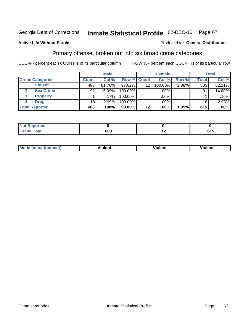#### Inmate Statistical Profile 02-DEC-10 Page 67

## **Active Life Without Parole**

### Produced for General Distribution

## Primary offense, broken out into six broad crime categories

COL % - percent each COUNT is of its particular column

|                         | <b>Male</b>  |        |                    | <b>Female</b> |         |       | Total        |        |
|-------------------------|--------------|--------|--------------------|---------------|---------|-------|--------------|--------|
| <b>Crime Categories</b> | <b>Count</b> | Col %  | <b>Row % Count</b> |               | Col %   | Row % | <b>Total</b> | Col %  |
| <b>Violent</b>          | 493          | 81.76% | $97.62\%$          | 12            | 100.00% | 2.38% | 505          | 82.11% |
| <b>Sex Crime</b>        | 91           | 15.09% | 100.00%            |               | .00%    |       | 91           | 14.80% |
| 3<br><b>Property</b>    |              | .17%   | 100.00%            |               | .00%    |       |              | .16%   |
| <b>Drug</b><br>4        | 18           | 2.99%  | 100.00%            |               | .00%    |       | 18           | 2.93%  |
| <b>Total Reported</b>   | 603          | 100%   | 98.05%             | 12            | 100%    | 1.95% | 615          | 100%   |

| .     |                    |                          |                |
|-------|--------------------|--------------------------|----------------|
| _____ | con<br>שס<br>- - - | $\overline{\phantom{0}}$ | - - -<br>U I J |

| <b>Mode (most frequent)</b> |         |                | --             |
|-----------------------------|---------|----------------|----------------|
|                             | violent | <b>Violent</b> | <b>Violent</b> |
|                             |         |                |                |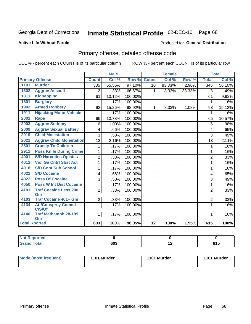# Inmate Statistical Profile 02-DEC-10 Page 68

## **Active Life Without Parole**

### Produced for General Distribution

# Primary offense, detailed offense code

COL % - percent each COUNT is of its particular column

|                      |                                     |                 | <b>Male</b> |         |                 | <b>Female</b> |        |                  | <b>Total</b>               |
|----------------------|-------------------------------------|-----------------|-------------|---------|-----------------|---------------|--------|------------------|----------------------------|
|                      | <b>Primary Offense</b>              | <b>Count</b>    | Col %       | Row %   | <b>Count</b>    | Col %         | Row %  | <b>Total</b>     | $\overline{\text{Col }\%}$ |
| 1101                 | <b>Murder</b>                       | 335             | 55.56%      | 97.10%  | 10 <sup>1</sup> | 83.33%        | 2.90%  | $\overline{345}$ | 56.10%                     |
| 1302                 | <b>Aggrav Assault</b>               | $\overline{2}$  | .33%        | 66.67%  | 1               | 8.33%         | 33.33% | 3                | .49%                       |
| 1311                 | <b>Kidnapping</b>                   | 61              | 10.12%      | 100.00% |                 |               |        | 61               | 9.92%                      |
| 1601                 | <b>Burglary</b>                     |                 | .17%        | 100.00% |                 |               |        | 1                | .16%                       |
| 1902                 | <b>Armed Robbery</b>                | 92              | 15.26%      | 98.92%  | 1.              | 8.33%         | 1.08%  | 93               | 15.12%                     |
| 1911                 | <b>Hijacking Motor Vehicle</b>      |                 | .17%        | 100.00% |                 |               |        | 1                | .16%                       |
| 2001                 | <b>Rape</b>                         | 65              | 10.78%      | 100.00% |                 |               |        | 65               | 10.57%                     |
| 2003                 | <b>Aggrav Sodomy</b>                | 6               | 1.00%       | 100.00% |                 |               |        | 6                | .98%                       |
| 2009                 | <b>Aggrav Sexual Battery</b>        | 4               | .66%        | 100.00% |                 |               |        | 4                | .65%                       |
| 2019                 | <b>Child Molestation</b>            | 3               | .50%        | 100.00% |                 |               |        | 3                | .49%                       |
| 2021                 | <b>Aggrav Child Molestation</b>     | $\overline{13}$ | 2.16%       | 100.00% |                 |               |        | 13               | 2.11%                      |
| 2801                 | <b>Cruelty To Children</b>          |                 | .17%        | 100.00% |                 |               |        | 1                | .16%                       |
| 2911                 | <b>Poss Knife During Crime</b>      | 1               | .17%        | 100.00% |                 |               |        | 1                | .16%                       |
| 4001                 | <b>S/D Narcotics Opiates</b>        | $\overline{2}$  | .33%        | 100.00% |                 |               |        | $\overline{2}$   | .33%                       |
| 4012                 | <b>Viol Ga Cntrl Sbst Act</b>       | 1               | .17%        | 100.00% |                 |               |        | 1                | .16%                       |
| 4018                 | <b>S/D Cont Sub School</b>          | 1               | .17%        | 100.00% |                 |               |        | 1                | .16%                       |
| 4021                 | <b>S/D Cocaine</b>                  | 4               | .66%        | 100.00% |                 |               |        | 4                | .65%                       |
| 4022                 | <b>Poss Of Cocaine</b>              | 3               | .50%        | 100.00% |                 |               |        | 3                | .49%                       |
| 4050                 | <b>Poss W Int Dist Cocaine</b>      | 1               | .17%        | 100.00% |                 |               |        | 1                | .16%                       |
| 4101                 | <b>Traf Cocaine Less 200</b>        | $\overline{2}$  | .33%        | 100.00% |                 |               |        | $\overline{2}$   | .33%                       |
|                      | Gm                                  |                 |             |         |                 |               |        |                  |                            |
| 4103                 | <b>Traf Cocaine 401+ Gm</b>         | $\overline{2}$  | $.33\%$     | 100.00% |                 |               |        | $\overline{2}$   | .33%                       |
| 4134                 | <b>Att/Consprcy Commt</b><br>C/S/Of | 1               | .17%        | 100.00% |                 |               |        | 1                | .16%                       |
| 4140                 | <b>Traf Methamph 28-199</b>         | 1               | .17%        | 100.00% |                 |               |        | 1                | .16%                       |
|                      | Gm                                  |                 |             |         |                 |               |        |                  |                            |
| <b>Total Rported</b> |                                     | 603             | 100%        | 98.05%  | $\overline{12}$ | 100%          | 1.95%  | 615              | 100%                       |

| ported<br>m.                    |     |     |                   |
|---------------------------------|-----|-----|-------------------|
| $int^{\bullet}$<br><b>TULAI</b> | 603 | . . | <b>CAF</b><br>. . |

| Mode (most frequent) | 1101 Murder | 1101 Murder | 1101 Murder |
|----------------------|-------------|-------------|-------------|
|                      |             |             |             |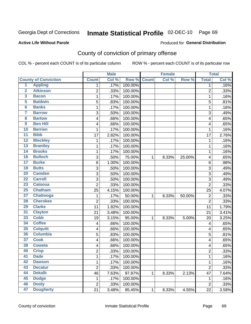#### Inmate Statistical Profile 02-DEC-10 Page 69

#### **Active Life Without Parole**

### Produced for General Distribution

## County of conviction of primary offense

COL % - percent each COUNT is of its particular column

|                         |                             |                | <b>Male</b> |         |              | <b>Female</b> |        |                  | <b>Total</b> |
|-------------------------|-----------------------------|----------------|-------------|---------|--------------|---------------|--------|------------------|--------------|
|                         | <b>County of Conviction</b> | <b>Count</b>   | Col %       | Row %   | <b>Count</b> | Col %         | Row %  | <b>Total</b>     | Col %        |
| 1                       | <b>Appling</b>              | 1              | .17%        | 100.00% |              |               |        | 1                | .16%         |
| $\overline{2}$          | <b>Atkinson</b>             | $\overline{2}$ | .33%        | 100.00% |              |               |        | $\overline{2}$   | .33%         |
| $\overline{\mathbf{3}}$ | <b>Bacon</b>                | 1              | .17%        | 100.00% |              |               |        | $\mathbf 1$      | .16%         |
| 5                       | <b>Baldwin</b>              | 5              | .83%        | 100.00% |              |               |        | 5                | .81%         |
| $6\phantom{a}$          | <b>Banks</b>                | 1              | .17%        | 100.00% |              |               |        | 1                | .16%         |
| 7                       | <b>Barrow</b>               | 3              | .50%        | 100.00% |              |               |        | 3                | .49%         |
| 8                       | <b>Bartow</b>               | 4              | .66%        | 100.00% |              |               |        | 4                | .65%         |
| $\overline{9}$          | <b>Ben Hill</b>             | 4              | .66%        | 100.00% |              |               |        | 4                | .65%         |
| 10                      | <b>Berrien</b>              | 1              | .17%        | 100.00% |              |               |        | 1                | .16%         |
| $\overline{11}$         | <b>Bibb</b>                 | 17             | 2.82%       | 100.00% |              |               |        | 17               | 2.76%        |
| $\overline{12}$         | <b>Bleckley</b>             | 1              | .17%        | 100.00% |              |               |        | 1                | .16%         |
| $\overline{13}$         | <b>Brantley</b>             | 1              | .17%        | 100.00% |              |               |        | $\mathbf{1}$     | .16%         |
| $\overline{14}$         | <b>Brooks</b>               | 1              | .17%        | 100.00% |              |               |        | $\mathbf 1$      | .16%         |
| 16                      | <b>Bulloch</b>              | $\mathbf{3}$   | .50%        | 75.00%  | 1            | 8.33%         | 25.00% | 4                | .65%         |
| $\overline{17}$         | <b>Burke</b>                | $\,6$          | 1.00%       | 100.00% |              |               |        | 6                | .98%         |
| $\overline{18}$         | <b>Butts</b>                | 3              | .50%        | 100.00% |              |               |        | $\sqrt{3}$       | .49%         |
| $\overline{20}$         | <b>Camden</b>               | 3              | .50%        | 100.00% |              |               |        | 3                | .49%         |
| $\overline{22}$         | <b>Carroll</b>              | 3              | .50%        | 100.00% |              |               |        | 3                | .49%         |
| 23                      | <b>Catoosa</b>              | $\overline{2}$ | .33%        | 100.00% |              |               |        | $\overline{2}$   | .33%         |
| 25                      | <b>Chatham</b>              | 25             | 4.15%       | 100.00% |              |               |        | 25               | 4.07%        |
| 27                      | Chattooga                   | $\mathbf 1$    | .17%        | 50.00%  | $\mathbf{1}$ | 8.33%         | 50.00% | $\overline{2}$   | .33%         |
| 28                      | <b>Cherokee</b>             | $\overline{2}$ | .33%        | 100.00% |              |               |        | $\overline{2}$   | .33%         |
| 29                      | <b>Clarke</b>               | 11             | 1.82%       | 100.00% |              |               |        | 11               | 1.79%        |
| 31                      | <b>Clayton</b>              | 21             | 3.48%       | 100.00% |              |               |        | 21               | 3.41%        |
| 33                      | <b>Cobb</b>                 | 19             | 3.15%       | 95.00%  | 1            | 8.33%         | 5.00%  | 20               | 3.25%        |
| 34                      | <b>Coffee</b>               | 4              | .66%        | 100.00% |              |               |        | 4                | .65%         |
| 35                      | <b>Colquitt</b>             | 4              | .66%        | 100.00% |              |               |        | 4                | .65%         |
| 36                      | <b>Columbia</b>             | 5              | .83%        | 100.00% |              |               |        | 5                | .81%         |
| 37                      | <b>Cook</b>                 | 4              | .66%        | 100.00% |              |               |        | 4                | .65%         |
| 38                      | <b>Coweta</b>               | 4              | .66%        | 100.00% |              |               |        | 4                | .65%         |
| 40                      | <b>Crisp</b>                | $\overline{c}$ | .33%        | 100.00% |              |               |        | $\overline{c}$   | .33%         |
| 41                      | <b>Dade</b>                 | 1              | .17%        | 100.00% |              |               |        | 1                | .16%         |
| 42                      | <b>Dawson</b>               | $\mathbf{1}$   | .17%        | 100.00% |              |               |        | 1                | .16%         |
| 43                      | <b>Decatur</b>              | $\overline{2}$ | .33%        | 100.00% |              |               |        | $\overline{2}$   | .33%         |
| 44                      | <b>Dekalb</b>               | 46             | 7.63%       | 97.87%  | 1            | 8.33%         | 2.13%  | 47               | 7.64%        |
| 45                      | <b>Dodge</b>                | 1              | .17%        | 100.00% |              |               |        | 1                | .16%         |
| 46                      | <b>Dooly</b>                | $\mathbf 2$    | .33%        | 100.00% |              |               |        | $\boldsymbol{2}$ | .33%         |
| 47                      | <b>Dougherty</b>            | 21             | 3.48%       | 95.45%  | $\mathbf{1}$ | 8.33%         | 4.55%  | 22               | 3.58%        |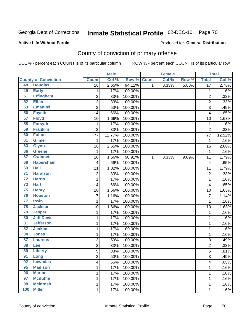# Inmate Statistical Profile 02-DEC-10 Page 70

### **Active Life Without Parole**

### Produced for General Distribution

# County of conviction of primary offense

COL % - percent each COUNT is of its particular column

|                 |                             |                         | <b>Male</b> |         |              | <b>Female</b> |       |                         | <b>Total</b> |
|-----------------|-----------------------------|-------------------------|-------------|---------|--------------|---------------|-------|-------------------------|--------------|
|                 | <b>County of Conviction</b> | <b>Count</b>            | Col %       | Row %   | <b>Count</b> | Col %         | Row % | <b>Total</b>            | Col%         |
| 48              | <b>Douglas</b>              | $\overline{16}$         | 2.65%       | 94.12%  | 1            | 8.33%         | 5.88% | $\overline{17}$         | 2.76%        |
| 49              | <b>Early</b>                | 1                       | .17%        | 100.00% |              |               |       | 1                       | .16%         |
| $\overline{51}$ | <b>Effingham</b>            | $\overline{c}$          | .33%        | 100.00% |              |               |       | $\overline{2}$          | .33%         |
| 52              | <b>Elbert</b>               | $\overline{2}$          | .33%        | 100.00% |              |               |       | $\overline{2}$          | .33%         |
| 53              | <b>Emanuel</b>              | 3                       | .50%        | 100.00% |              |               |       | 3                       | .49%         |
| 56              | <b>Fayette</b>              | 4                       | .66%        | 100.00% |              |               |       | 4                       | .65%         |
| 57              | <b>Floyd</b>                | 10                      | 1.66%       | 100.00% |              |               |       | 10                      | 1.63%        |
| 58              | <b>Forsyth</b>              | 1                       | .17%        | 100.00% |              |               |       | 1                       | .16%         |
| 59              | <b>Franklin</b>             | $\overline{2}$          | .33%        | 100.00% |              |               |       | $\overline{2}$          | .33%         |
| 60              | <b>Fulton</b>               | 77                      | 12.77%      | 100.00% |              |               |       | 77                      | 12.52%       |
| 61              | <b>Gilmer</b>               | 1                       | .17%        | 100.00% |              |               |       | $\mathbf 1$             | .16%         |
| 63              | <b>Glynn</b>                | 16                      | 2.65%       | 100.00% |              |               |       | 16                      | 2.60%        |
| 66              | <b>Greene</b>               | $\mathbf 1$             | .17%        | 100.00% |              |               |       | 1                       | .16%         |
| 67              | <b>Gwinnett</b>             | 10                      | 1.66%       | 90.91%  | 1            | 8.33%         | 9.09% | 11                      | 1.79%        |
| 68              | <b>Habersham</b>            | 4                       | .66%        | 100.00% |              |               |       | 4                       | .65%         |
| 69              | <b>Hall</b>                 | 11                      | 1.82%       | 100.00% |              |               |       | 11                      | 1.79%        |
| $\overline{71}$ | <b>Haralson</b>             | $\overline{2}$          | .33%        | 100.00% |              |               |       | $\overline{2}$          | .33%         |
| $\overline{72}$ | <b>Harris</b>               | 1                       | .17%        | 100.00% |              |               |       | 1                       | .16%         |
| $\overline{73}$ | <b>Hart</b>                 | $\overline{\mathbf{4}}$ | .66%        | 100.00% |              |               |       | 4                       | .65%         |
| 75              | <b>Henry</b>                | 10                      | 1.66%       | 100.00% |              |               |       | 10                      | 1.63%        |
| 76              | <b>Houston</b>              | $\overline{7}$          | 1.16%       | 100.00% |              |               |       | $\overline{7}$          | 1.14%        |
| $\overline{77}$ | <b>Irwin</b>                | 1                       | .17%        | 100.00% |              |               |       | $\mathbf{1}$            | .16%         |
| 78              | <b>Jackson</b>              | 10                      | 1.66%       | 100.00% |              |               |       | 10                      | 1.63%        |
| 79              | <b>Jasper</b>               | 1                       | .17%        | 100.00% |              |               |       | 1                       | .16%         |
| 80              | <b>Jeff Davis</b>           | 1                       | .17%        | 100.00% |              |               |       | 1                       | .16%         |
| $\overline{81}$ | <b>Jefferson</b>            | 1                       | .17%        | 100.00% |              |               |       | 1                       | .16%         |
| 82              | <b>Jenkins</b>              | 1                       | .17%        | 100.00% |              |               |       | $\mathbf 1$             | .16%         |
| 84              | <b>Jones</b>                | 1                       | .17%        | 100.00% |              |               |       | 1                       | .16%         |
| 87              | <b>Laurens</b>              | 3                       | .50%        | 100.00% |              |               |       | 3                       | .49%         |
| 88              | Lee                         | $\boldsymbol{2}$        | .33%        | 100.00% |              |               |       | $\overline{2}$          | .33%         |
| 89              | <b>Liberty</b>              | $\overline{5}$          | .83%        | 100.00% |              |               |       | 5                       | .81%         |
| 91              | Long                        | 3                       | .50%        | 100.00% |              |               |       | 3                       | .49%         |
| 92              | <b>Lowndes</b>              | 4                       | .66%        | 100.00% |              |               |       | $\overline{\mathbf{4}}$ | .65%         |
| 95              | <b>Madison</b>              | 1                       | .17%        | 100.00% |              |               |       | 1                       | .16%         |
| 96              | <b>Marion</b>               | 1                       | .17%        | 100.00% |              |               |       | 1                       | .16%         |
| 97              | <b>Mcduffie</b>             | 1                       | .17%        | 100.00% |              |               |       | 1                       | .16%         |
| 98              | <b>Mcintosh</b>             | 1                       | .17%        | 100.00% |              |               |       | $\mathbf{1}$            | .16%         |
| 100             | <b>Miller</b>               | $\mathbf 1$             | .17%        | 100.00% |              |               |       | 1                       | .16%         |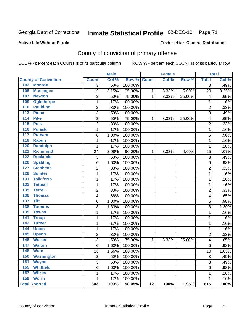# Inmate Statistical Profile 02-DEC-10 Page 71

### **Active Life Without Parole**

### Produced for General Distribution

# County of conviction of primary offense

COL % - percent each COUNT is of its particular column

|                                   |                | <b>Male</b> |             |                 | <b>Female</b> |        |                | <b>Total</b> |
|-----------------------------------|----------------|-------------|-------------|-----------------|---------------|--------|----------------|--------------|
| <b>County of Conviction</b>       | <b>Count</b>   | Col %       | Row % Count |                 | Col %         | Row %  | <b>Total</b>   | Col %        |
| <b>Monroe</b><br>102              | 3              | .50%        | 100.00%     |                 |               |        | 3              | .49%         |
| 106<br><b>Muscogee</b>            | 19             | 3.15%       | 95.00%      | 1               | 8.33%         | 5.00%  | 20             | 3.25%        |
| 107<br><b>Newton</b>              | 3              | .50%        | 75.00%      | 1               | 8.33%         | 25.00% | 4              | .65%         |
| <b>Oglethorpe</b><br>109          | 1              | .17%        | 100.00%     |                 |               |        | 1              | .16%         |
| <b>Paulding</b><br>110            | $\overline{c}$ | .33%        | 100.00%     |                 |               |        | $\overline{2}$ | .33%         |
| <b>Pierce</b><br>$\overline{113}$ | 3              | .50%        | 100.00%     |                 |               |        | 3              | .49%         |
| 114<br><b>Pike</b>                | 3              | .50%        | 75.00%      | 1               | 8.33%         | 25.00% | 4              | .65%         |
| $\overline{115}$<br><b>Polk</b>   | 2              | .33%        | 100.00%     |                 |               |        | $\overline{2}$ | .33%         |
| 116<br><b>Pulaski</b>             | 1              | .17%        | 100.00%     |                 |               |        | 1              | .16%         |
| 117<br><b>Putnam</b>              | 6              | 1.00%       | 100.00%     |                 |               |        | 6              | .98%         |
| <b>Rabun</b><br>119               | 1              | .17%        | 100.00%     |                 |               |        | 1              | .16%         |
| <b>Randolph</b><br>120            | 1              | .17%        | 100.00%     |                 |               |        | 1              | .16%         |
| 121<br><b>Richmond</b>            | 24             | 3.98%       | 96.00%      | 1               | 8.33%         | 4.00%  | 25             | 4.07%        |
| <b>Rockdale</b><br>122            | 3              | .50%        | 100.00%     |                 |               |        | 3              | .49%         |
| <b>Spalding</b><br>126            | 6              | 1.00%       | 100.00%     |                 |               |        | 6              | .98%         |
| <b>Stephens</b><br>127            | 2              | .33%        | 100.00%     |                 |               |        | $\overline{2}$ | .33%         |
| 129<br><b>Sumter</b>              | 1              | .17%        | 100.00%     |                 |               |        | 1              | .16%         |
| <b>Taliaferro</b><br>131          | 1              | .17%        | 100.00%     |                 |               |        | 1              | .16%         |
| <b>Tattnall</b><br>132            | 1              | .17%        | 100.00%     |                 |               |        | 1              | .16%         |
| 135<br><b>Terrell</b>             | $\overline{c}$ | .33%        | 100.00%     |                 |               |        | 2              | .33%         |
| 136<br><b>Thomas</b>              | 4              | .66%        | 100.00%     |                 |               |        | 4              | .65%         |
| <b>Tift</b><br>137                | 6              | 1.00%       | 100.00%     |                 |               |        | 6              | .98%         |
| <b>Toombs</b><br>138              | 8              | 1.33%       | 100.00%     |                 |               |        | 8              | 1.30%        |
| <b>Towns</b><br>139               | 1              | .17%        | 100.00%     |                 |               |        | 1              | .16%         |
| $\overline{141}$<br><b>Troup</b>  | 1              | .17%        | 100.00%     |                 |               |        | 1              | .16%         |
| $\overline{142}$<br><b>Turner</b> | 1              | .17%        | 100.00%     |                 |               |        | 1              | .16%         |
| 144<br><b>Union</b>               | 1              | .17%        | 100.00%     |                 |               |        | 1              | .16%         |
| 145<br><b>Upson</b>               | 2              | .33%        | 100.00%     |                 |               |        | $\overline{2}$ | .33%         |
| <b>Walker</b><br>146              | 3              | .50%        | 75.00%      | 1               | 8.33%         | 25.00% | 4              | .65%         |
| 147<br><b>Walton</b>              | $\,6$          | 1.00%       | 100.00%     |                 |               |        | 6              | .98%         |
| <b>Ware</b><br>148                | 10             | 1.66%       | 100.00%     |                 |               |        | 10             | 1.63%        |
| 150<br><b>Washington</b>          | 3              | .50%        | 100.00%     |                 |               |        | 3              | .49%         |
| 151<br><b>Wayne</b>               | 3              | .50%        | 100.00%     |                 |               |        | 3              | .49%         |
| <b>Whitfield</b><br>155           | 6              | 1.00%       | 100.00%     |                 |               |        | 6              | .98%         |
| <b>Wilkes</b><br>157              | 1              | .17%        | 100.00%     |                 |               |        | 1              | .16%         |
| 159 Worth                         | 1              | .17%        | 100.00%     |                 |               |        | 1              | .16%         |
| <b>Total Rported</b>              | 603            | 100%        | 98.05%      | $\overline{12}$ | 100%          | 1.95%  | 615            | 100%         |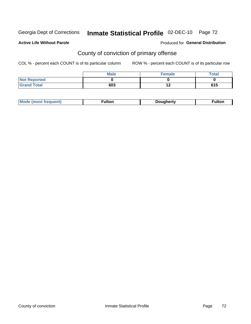# Inmate Statistical Profile 02-DEC-10 Page 72

### **Active Life Without Parole**

## **Produced for General Distribution**

# County of conviction of primary offense

COL % - percent each COUNT is of its particular column

|                     | <b>Male</b> | Female | Total |
|---------------------|-------------|--------|-------|
| <b>Not Reported</b> |             |        |       |
| <b>Grand Total</b>  | 603         | $\sim$ | 615   |

|  | <b>AhoM</b><br>-----<br>nuent. |  | ouanerty<br>. IC | ัulton |
|--|--------------------------------|--|------------------|--------|
|--|--------------------------------|--|------------------|--------|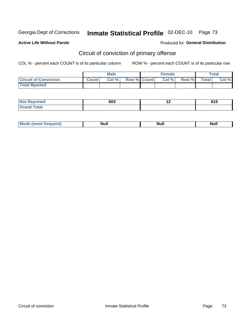Georgia Dept of Corrections

# Inmate Statistical Profile 02-DEC-10 Page 73

#### **Active Life Without Parole**

#### Produced for General Distribution

# Circuit of conviction of primary offense

COL % - percent each COUNT is of its particular column

|                              |              | <b>Male</b> |                    | <b>Female</b> |       |              | <b>Total</b> |
|------------------------------|--------------|-------------|--------------------|---------------|-------|--------------|--------------|
| <b>Circuit of Conviction</b> | <b>Count</b> | Col %       | <b>Row % Count</b> | Col %         | Row % | <b>Total</b> | Col %        |
| <b>Total Rported</b>         |              |             |                    |               |       |              |              |

| <b>Not Reported</b>   | 603 | <u>. .</u> | <b>CAF</b><br>טוט |
|-----------------------|-----|------------|-------------------|
| <b>Total</b><br>Grand |     |            |                   |

| <b>Mode</b><br>frequent)<br>. | <b>Null</b> | <b>Nul</b> ı<br>------ | <b>Null</b> |
|-------------------------------|-------------|------------------------|-------------|
|-------------------------------|-------------|------------------------|-------------|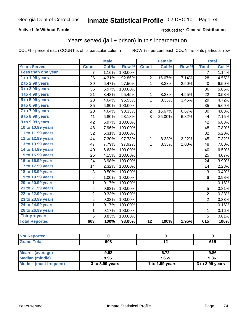### **Active Life Without Parole**

### Produced for General Distribution

### Years served (jail + prison) in this incarceration

COL % - percent each COUNT is of its particular column

|                       |                | <b>Male</b> |         |                 | <b>Female</b> |       |                | <b>Total</b> |
|-----------------------|----------------|-------------|---------|-----------------|---------------|-------|----------------|--------------|
| <b>Years Served</b>   | <b>Count</b>   | Col %       | Row %   | <b>Count</b>    | Col %         | Row % | <b>Total</b>   | Col %        |
| Less than one year    | 7              | 1.16%       | 100.00% |                 |               |       | 7              | 1.14%        |
| 1 to 1.99 years       | 26             | 4.31%       | 92.86%  | $\overline{2}$  | 16.67%        | 7.14% | 28             | 4.55%        |
| 2 to 2.99 years       | 39             | 6.47%       | 97.50%  | 1               | 8.33%         | 2.50% | 40             | 6.50%        |
| 3 to 3.99 years       | 36             | 5.97%       | 100.00% |                 |               |       | 36             | 5.85%        |
| 4 to 4.99 years       | 21             | 3.48%       | 95.45%  | 1               | 8.33%         | 4.55% | 22             | 3.58%        |
| 5 to 5.99 years       | 28             | 4.64%       | 96.55%  | $\mathbf{1}$    | 8.33%         | 3.45% | 29             | 4.72%        |
| 6 to 6.99 years       | 35             | 5.80%       | 100.00% |                 |               |       | 35             | 5.69%        |
| 7 to 7.99 years       | 28             | 4.64%       | 93.33%  | $\overline{2}$  | 16.67%        | 6.67% | 30             | 4.88%        |
| 8 to 8.99 years       | 41             | 6.80%       | 93.18%  | 3               | 25.00%        | 6.82% | 44             | 7.15%        |
| 9 to 9.99 years       | 42             | 6.97%       | 100.00% |                 |               |       | 42             | 6.83%        |
| 10 to 10.99 years     | 48             | 7.96%       | 100.00% |                 |               |       | 48             | 7.80%        |
| 11 to 11.99 years     | 32             | 5.31%       | 100.00% |                 |               |       | 32             | 5.20%        |
| 12 to 12.99 years     | 44             | 7.30%       | 97.78%  | 1               | 8.33%         | 2.22% | 45             | 7.32%        |
| 13 to 13.99 years     | 47             | 7.79%       | 97.92%  | 1               | 8.33%         | 2.08% | 48             | 7.80%        |
| 14 to 14.99 years     | 40             | 6.63%       | 100.00% |                 |               |       | 40             | 6.50%        |
| 15 to 15.99 years     | 25             | 4.15%       | 100.00% |                 |               |       | 25             | 4.07%        |
| 16 to 16.99 years     | 24             | 3.98%       | 100.00% |                 |               |       | 24             | 3.90%        |
| 17 to 17.99 years     | 14             | 2.32%       | 100.00% |                 |               |       | 14             | 2.28%        |
| 18 to 18.99 years     | 3              | 0.50%       | 100.00% |                 |               |       | 3              | 0.49%        |
| 19 to 19.99 years     | 6              | 1.00%       | 100.00% |                 |               |       | $6\phantom{1}$ | 0.98%        |
| 20 to 20.99 years     | 1              | 0.17%       | 100.00% |                 |               |       | $\mathbf{1}$   | 0.16%        |
| 21 to 21.99 years     | 5              | 0.83%       | 100.00% |                 |               |       | $\overline{5}$ | 0.81%        |
| 22 to 22.99 years     | $\overline{c}$ | 0.33%       | 100.00% |                 |               |       | $\overline{2}$ | 0.33%        |
| 23 to 23.99 years     | $\overline{2}$ | 0.33%       | 100.00% |                 |               |       | $\overline{2}$ | 0.33%        |
| 24 to 24.99 years     | 1              | 0.17%       | 100.00% |                 |               |       | 1              | 0.16%        |
| 26 to 26.99 years     | $\mathbf 1$    | 0.17%       | 100.00% |                 |               |       | $\mathbf 1$    | 0.16%        |
| Thirty $+$ years      | 5              | 0.83%       | 100.00% |                 |               |       | 5              | 0.81%        |
| <b>Total Reported</b> | 603            | 100%        | 98.05%  | $\overline{12}$ | 100%          | 1.95% | 615            | 100%         |

| . .<br>rtea |                       |                          |       |
|-------------|-----------------------|--------------------------|-------|
| $T = 4 - T$ | <b>CO<sub>2</sub></b> | $\overline{\phantom{0}}$ | - - - |
| $\sim$      | งบง                   |                          | U I J |

| <b>Mean</b><br>(average) | 9.92            | 6.72            | 9.86              |
|--------------------------|-----------------|-----------------|-------------------|
| Median (middle)          | 9.95            | 7.665           | 9.86              |
| Mode (most frequent)     | 3 to 3.99 years | 1 to 1.99 years | $3$ to 3.99 years |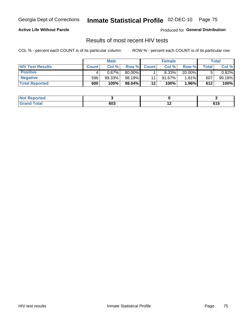Georgia Dept of Corrections

# Inmate Statistical Profile 02-DEC-10 Page 75

### **Active Life Without Parole**

Produced for General Distribution

### Results of most recent HIV tests

COL % - percent each COUNT is of its particular column

|                         |              | <b>Male</b> |        |              | <b>Female</b> |        |       | Total  |
|-------------------------|--------------|-------------|--------|--------------|---------------|--------|-------|--------|
| <b>HIV Test Results</b> | <b>Count</b> | Col%        | Row %I | <b>Count</b> | Col %         | Row %  | Total | Col %  |
| <b>Positive</b>         |              | 0.67%       | 80.00% |              | 8.33%         | 20.00% |       | 0.82%  |
| <b>Negative</b>         | 596          | 99.33%      | 98.19% | 11           | $91.67\%$     | 1.81%  | 607   | 99.18% |
| <b>Total Reported</b>   | 600          | 100%        | 98.04% | $12 \,$      | <b>100%</b>   | 1.96%  | 612   | 100%   |

| <b>Not Reported</b> |     |     |               |
|---------------------|-----|-----|---------------|
| <b>Total</b>        | 603 | . . | CA E<br>ט ו ט |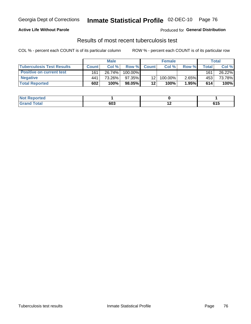### **Active Life Without Parole**

Produced for General Distribution

### Results of most recent tuberculosis test

COL % - percent each COUNT is of its particular column

|                                  |              | <b>Male</b> |            |              | <b>Female</b> |       |       | Total  |
|----------------------------------|--------------|-------------|------------|--------------|---------------|-------|-------|--------|
| <b>Tuberculosis Test Results</b> | <b>Count</b> | Col%        | Row %I     | <b>Count</b> | Col%          | Row % | Total | Col %  |
| <b>Positive on current test</b>  | 161          | 26.74%      | $100.00\%$ |              |               |       | 161.  | 26.22% |
| <b>Negative</b>                  | 441          | 73.26%      | 97.35%     | 12           | 100.00%       | 2.65% | 453   | 73.78% |
| <b>Total Reported</b>            | 602          | 100%        | 98.05%     | 12           | 100%          | 1.95% | 614   | 100%   |

| <b>Not Reported</b> |     |     |               |
|---------------------|-----|-----|---------------|
| <b>Total</b>        | 603 | . . | CA E<br>ט ו ט |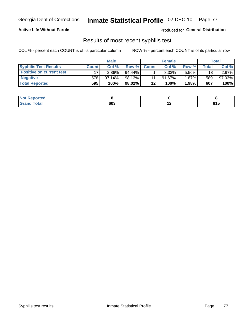### **Active Life Without Parole**

**Produced for General Distribution** 

### Results of most recent syphilis test

COL % - percent each COUNT is of its particular column

|                                 |              | <b>Male</b> |           |              | <b>Female</b> |          |         | Total  |
|---------------------------------|--------------|-------------|-----------|--------------|---------------|----------|---------|--------|
| <b>Syphilis Test Results</b>    | <b>Count</b> | Col%        | Row %     | <b>Count</b> | Col %         | Row %I   | Total i | Col %  |
| <b>Positive on current test</b> |              | $2.86\%$    | $94.44\%$ |              | $8.33\%$      | 5.56%    | 18      | 2.97%  |
| <b>Negative</b>                 | 578          | $97.14\%$   | 98.13%    |              | $91.67\%$     | $1.87\%$ | 589     | 97.03% |
| <b>Total Reported</b>           | 595          | 100%        | 98.02%    | $12 \,$      | 100%          | 1.98%    | 607     | 100%   |

| <b>Not Reported</b> |     |     |                          |
|---------------------|-----|-----|--------------------------|
| <b>Total</b>        | 603 | . . | C <sub>4</sub> F<br>ט וט |